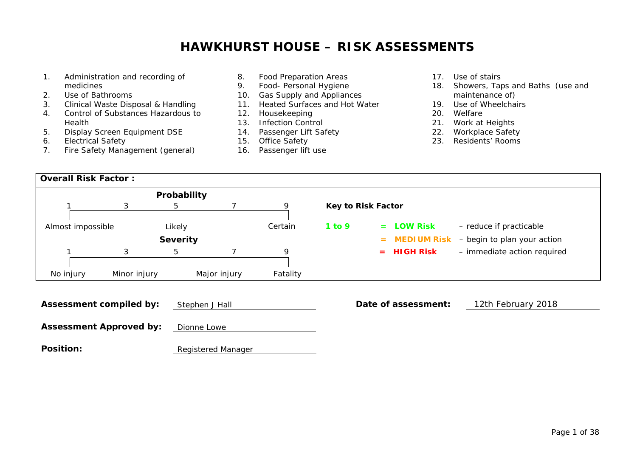## **HAWKHURST HOUSE - RISK ASSESSMENTS**

- Administration and recording of 8. **Food Preparation Areas**  $\mathbf{1}$ . medicines Food- Personal Hygiene  $9<sub>1</sub>$ 10. Gas Supply and Appliances  $2.$ Use of Bathrooms 11. Heated Surfaces and Hot Water **Clinical Waste Disposal & Handling**  $3<sub>1</sub>$ Control of Substances Hazardous to 12. Housekeeping 20. Welfare 4. 13. Infection Control 21. Work at Heights Health **Display Screen Equipment DSE** 22. Workplace Safety 14. Passenger Lift Safety  $5 -$ **Electrical Safety** 15. Office Safety  $6.$ 7. Fire Safety Management (general) 16. Passenger lift use
	- 17. Use of stairs
	- 18. Showers, Taps and Baths (use and maintenance of)
	- 19. Use of Wheelchairs
	-
	-
	- 23. Residents' Rooms

| <b>Overall Risk Factor:</b>                      |                                |             |              |          |                                           |                                                        |
|--------------------------------------------------|--------------------------------|-------------|--------------|----------|-------------------------------------------|--------------------------------------------------------|
|                                                  |                                | Probability |              |          |                                           |                                                        |
|                                                  | 3                              | 5           |              | 9        | Key to Risk Factor                        |                                                        |
| Almost impossible                                |                                | Likely      |              | Certain  | $1$ to 9                                  | $=$ LOW Risk<br>- reduce if practicable                |
|                                                  |                                | Severity    |              |          |                                           | <b>MEDIUM Risk</b><br>- begin to plan your action<br>= |
|                                                  | 3                              | 5           |              | 9        |                                           | $=$ HIGH Risk<br>- immediate action required           |
|                                                  |                                |             |              |          |                                           |                                                        |
| No injury                                        | Minor injury                   |             | Major injury | Fatality |                                           |                                                        |
| <b>Assessment compiled by:</b><br>Stephen J Hall |                                |             |              |          | Date of assessment:<br>12th February 2018 |                                                        |
|                                                  | <b>Assessment Approved by:</b> | Dionne Lowe |              |          |                                           |                                                        |

Position:

**Registered Manager**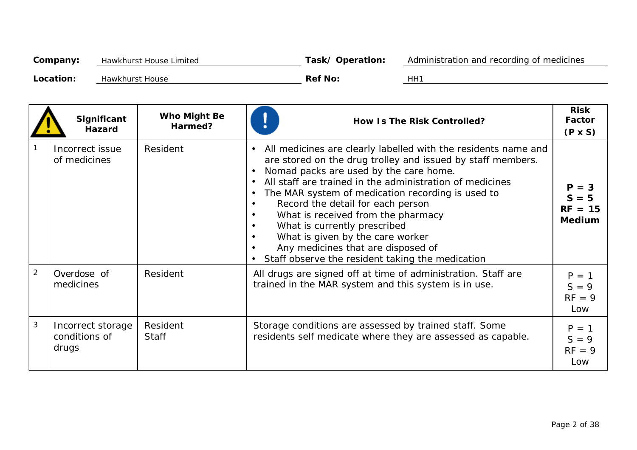| Company:  | <b>Hawkhurst House Limited</b> | Task/Operation: | Administration and recording of medicines |
|-----------|--------------------------------|-----------------|-------------------------------------------|
| Location: | <b>Hawkhurst House</b>         | <b>Ref No:</b>  | HH1                                       |

|                | Significant<br><b>Hazard</b>                | Who Might Be<br>Harmed?  | <b>How Is The Risk Controlled?</b>                                                                                                                                                                                                                                                                                                                                                                                                                                                                                                             | <b>Risk</b><br>Factor<br>$(P \times S)$              |
|----------------|---------------------------------------------|--------------------------|------------------------------------------------------------------------------------------------------------------------------------------------------------------------------------------------------------------------------------------------------------------------------------------------------------------------------------------------------------------------------------------------------------------------------------------------------------------------------------------------------------------------------------------------|------------------------------------------------------|
|                | Incorrect issue<br>of medicines             | Resident                 | All medicines are clearly labelled with the residents name and<br>$\bullet$<br>are stored on the drug trolley and issued by staff members.<br>Nomad packs are used by the care home.<br>All staff are trained in the administration of medicines<br>The MAR system of medication recording is used to<br>Record the detail for each person<br>What is received from the pharmacy<br>What is currently prescribed<br>What is given by the care worker<br>Any medicines that are disposed of<br>Staff observe the resident taking the medication | P.<br>$=$ 3<br>$S = 5$<br>$RF = 15$<br><b>Medium</b> |
| $\overline{2}$ | Overdose of<br>medicines                    | Resident                 | All drugs are signed off at time of administration. Staff are<br>trained in the MAR system and this system is in use.                                                                                                                                                                                                                                                                                                                                                                                                                          | $P = 1$<br>$S = 9$<br>$RF = 9$<br>Low                |
| 3              | Incorrect storage<br>conditions of<br>drugs | Resident<br><b>Staff</b> | Storage conditions are assessed by trained staff. Some<br>residents self medicate where they are assessed as capable.                                                                                                                                                                                                                                                                                                                                                                                                                          | $P = 1$<br>$S = 9$<br>$RF = 9$<br>Low                |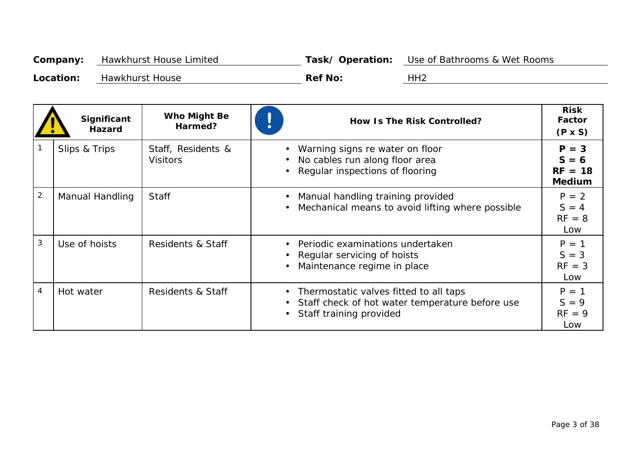| Company:  | <b>Hawkhurst House Limited</b> | Task/Operation: | Use of Bathrooms & Wet Rooms |
|-----------|--------------------------------|-----------------|------------------------------|
| Location: | <b>Hawkhurst House</b>         | <b>Ref No:</b>  | <b>HH2</b>                   |

|                | Significant<br><b>Hazard</b> | Who Might Be<br>Harmed?               | How Is The Risk Controlled?                                                                                                                      | <b>Risk</b><br>Factor<br>$(P \times S)$          |
|----------------|------------------------------|---------------------------------------|--------------------------------------------------------------------------------------------------------------------------------------------------|--------------------------------------------------|
|                | Slips & Trips                | Staff, Residents &<br><b>Visitors</b> | Warning signs re water on floor<br>No cables run along floor area<br>$\bullet$<br>• Regular inspections of flooring                              | $P = 3$<br>$S = 6$<br>$RF = 18$<br><b>Medium</b> |
| $\overline{2}$ | <b>Manual Handling</b>       | <b>Staff</b>                          | Manual handling training provided<br>$\bullet$<br>Mechanical means to avoid lifting where possible<br>$\bullet$                                  | $P = 2$<br>$S = 4$<br>$RF = 8$<br>Low            |
| 3              | Use of hoists                | <b>Residents &amp; Staff</b>          | Periodic examinations undertaken<br>$\bullet$<br>Regular servicing of hoists<br>Maintenance regime in place                                      | $P = 1$<br>$S = 3$<br>$RF = 3$<br>Low            |
| 4              | Hot water                    | <b>Residents &amp; Staff</b>          | Thermostatic valves fitted to all taps<br>$\bullet$<br>• Staff check of hot water temperature before use<br>Staff training provided<br>$\bullet$ | $P = 1$<br>$S = 9$<br>$RF = 9$<br>Low            |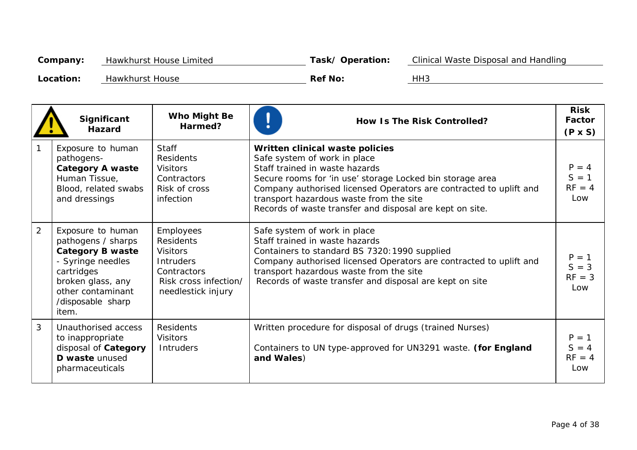| Company:  | <b>Hawkhurst House Limited</b> | Task/Operation: | <b>Clinical Waste Disposal and Handling</b> |
|-----------|--------------------------------|-----------------|---------------------------------------------|
| Location: | <b>Hawkhurst House</b>         | <b>Ref No:</b>  | HH3                                         |

|                | Significant<br><b>Hazard</b>                                                                                                                                                  | <b>Who Might Be</b><br>Harmed?                                                                                                                   | <b>How Is The Risk Controlled?</b>                                                                                                                                                                                                                                                                                                          | <b>Risk</b><br>Factor<br>$(P \times S)$ |
|----------------|-------------------------------------------------------------------------------------------------------------------------------------------------------------------------------|--------------------------------------------------------------------------------------------------------------------------------------------------|---------------------------------------------------------------------------------------------------------------------------------------------------------------------------------------------------------------------------------------------------------------------------------------------------------------------------------------------|-----------------------------------------|
|                | Exposure to human<br>pathogens-<br><b>Category A waste</b><br>Human Tissue,<br>Blood, related swabs<br>and dressings                                                          | <b>Staff</b><br><b>Residents</b><br><b>Visitors</b><br><b>Contractors</b><br><b>Risk of cross</b><br>infection                                   | Written clinical waste policies<br>Safe system of work in place<br>Staff trained in waste hazards<br>Secure rooms for 'in use' storage Locked bin storage area<br>Company authorised licensed Operators are contracted to uplift and<br>transport hazardous waste from the site<br>Records of waste transfer and disposal are kept on site. | $P = 4$<br>$S = 1$<br>$RF = 4$<br>Low   |
| $\overline{2}$ | Exposure to human<br>pathogens / sharps<br><b>Category B waste</b><br>- Syringe needles<br>cartridges<br>broken glass, any<br>other contaminant<br>/disposable sharp<br>item. | <b>Employees</b><br><b>Residents</b><br><b>Visitors</b><br><b>Intruders</b><br><b>Contractors</b><br>Risk cross infection/<br>needlestick injury | Safe system of work in place<br>Staff trained in waste hazards<br>Containers to standard BS 7320:1990 supplied<br>Company authorised licensed Operators are contracted to uplift and<br>transport hazardous waste from the site<br>Records of waste transfer and disposal are kept on site                                                  | $P = 1$<br>$S = 3$<br>$RF = 3$<br>Low   |
| 3              | <b>Unauthorised access</b><br>to inappropriate<br>disposal of Category<br>D waste unused<br>pharmaceuticals                                                                   | <b>Residents</b><br><b>Visitors</b><br><b>Intruders</b>                                                                                          | Written procedure for disposal of drugs (trained Nurses)<br>Containers to UN type-approved for UN3291 waste. (for England<br>and Wales)                                                                                                                                                                                                     | $P = 1$<br>$S = 4$<br>$RF = 4$<br>Low   |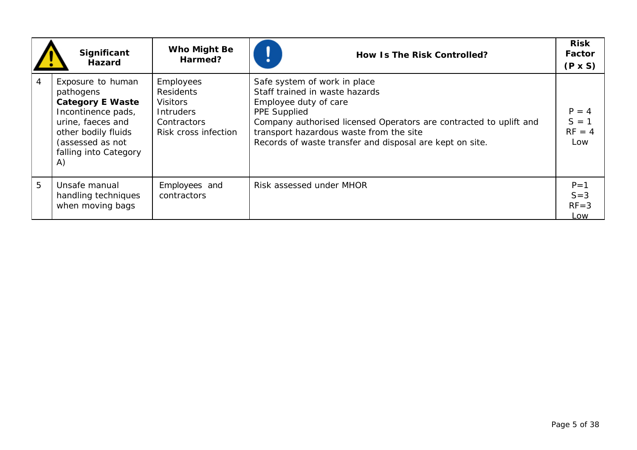|   | Significant<br><b>Hazard</b>                                                                                                                                                   | Who Might Be<br>Harmed?                                                                                                          | <b>How Is The Risk Controlled?</b>                                                                                                                                                                                                                                                          | <b>Risk</b><br>Factor<br>$(P \times S)$ |
|---|--------------------------------------------------------------------------------------------------------------------------------------------------------------------------------|----------------------------------------------------------------------------------------------------------------------------------|---------------------------------------------------------------------------------------------------------------------------------------------------------------------------------------------------------------------------------------------------------------------------------------------|-----------------------------------------|
| 4 | Exposure to human<br>pathogens<br><b>Category E Waste</b><br>Incontinence pads,<br>urine, faeces and<br>other bodily fluids<br>(assessed as not<br>falling into Category<br>A) | <b>Employees</b><br><b>Residents</b><br><b>Visitors</b><br><b>Intruders</b><br><b>Contractors</b><br><b>Risk cross infection</b> | Safe system of work in place<br>Staff trained in waste hazards<br>Employee duty of care<br><b>PPE Supplied</b><br>Company authorised licensed Operators are contracted to uplift and<br>transport hazardous waste from the site<br>Records of waste transfer and disposal are kept on site. | $P = 4$<br>$S = 1$<br>$RF = 4$<br>Low   |
| 5 | Unsafe manual<br>handling techniques<br>when moving bags                                                                                                                       | Employees and<br>contractors                                                                                                     | Risk assessed under MHOR                                                                                                                                                                                                                                                                    | $P = 1$<br>$S = 3$<br>$RF = 3$<br>Low   |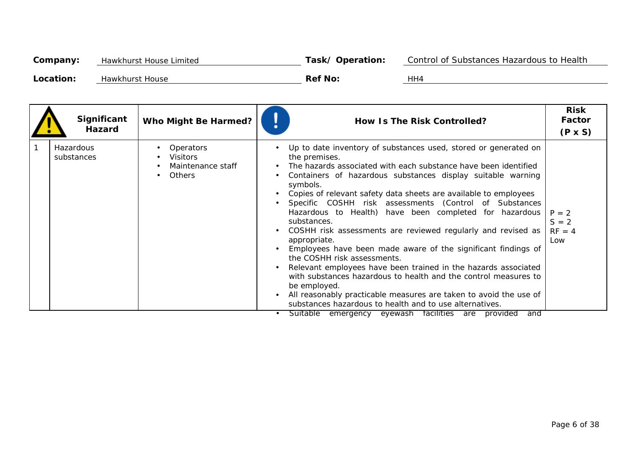| Company:  | <b>Hawkhurst House Limited</b> | Task/Operation: | Control of Substances Hazardous to Health |
|-----------|--------------------------------|-----------------|-------------------------------------------|
| Location: | <b>Hawkhurst House</b>         | <b>Ref No:</b>  | HH4                                       |

| Significant<br>Hazard   | Who Might Be Harmed?                                                      | How Is The Risk Controlled?                                                                                                                                                                                                                                                                                                                                                                                                                                                                                                                                                                                                                                                                                                                                                                                                                                                                                                                                                | <b>Risk</b><br>Factor<br>$(P \times S)$ |
|-------------------------|---------------------------------------------------------------------------|----------------------------------------------------------------------------------------------------------------------------------------------------------------------------------------------------------------------------------------------------------------------------------------------------------------------------------------------------------------------------------------------------------------------------------------------------------------------------------------------------------------------------------------------------------------------------------------------------------------------------------------------------------------------------------------------------------------------------------------------------------------------------------------------------------------------------------------------------------------------------------------------------------------------------------------------------------------------------|-----------------------------------------|
| Hazardous<br>substances | <b>Operators</b><br><b>Visitors</b><br>Maintenance staff<br><b>Others</b> | Up to date inventory of substances used, stored or generated on<br>the premises.<br>The hazards associated with each substance have been identified<br>Containers of hazardous substances display suitable warning<br>symbols.<br>Copies of relevant safety data sheets are available to employees<br>Specific COSHH risk assessments (Control of Substances<br>Hazardous to Health) have been completed for hazardous<br>substances.<br>COSHH risk assessments are reviewed regularly and revised as<br>appropriate.<br>Employees have been made aware of the significant findings of<br>the COSHH risk assessments.<br>Relevant employees have been trained in the hazards associated<br>with substances hazardous to health and the control measures to<br>be employed.<br>All reasonably practicable measures are taken to avoid the use of<br>substances hazardous to health and to use alternatives.<br>Suitable emergency eyewash facilities are<br>provided<br>and | $P = 2$<br>$S = 2$<br>$RF = 4$<br>Low   |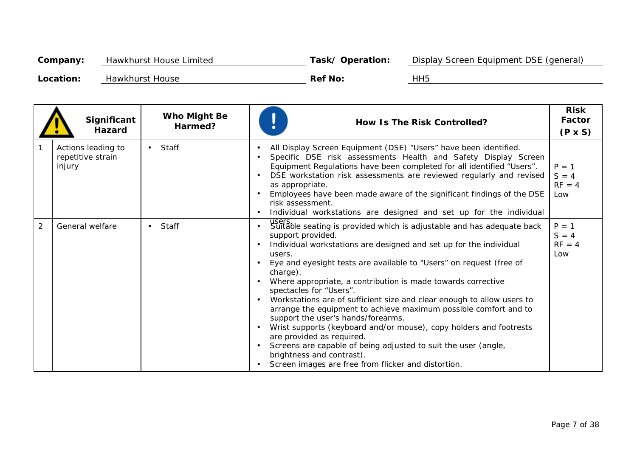| Company:  | <b>Hawkhurst House Limited</b> | Task/Operation: | Display Screen Equipment DSE (general) |
|-----------|--------------------------------|-----------------|----------------------------------------|
| Location: | <b>Hawkhurst House</b>         | <b>Ref No:</b>  | HH5                                    |

|                | Significant<br>Hazard                             | Who Might Be<br>Harmed?   | How Is The Risk Controlled?                                                                                                                                                                                                                                                                                                                                                                                                                                                                                                                                                                                                                                                                                                                                                                                                                                                      | <b>Risk</b><br>Factor<br>$(P \times S)$ |
|----------------|---------------------------------------------------|---------------------------|----------------------------------------------------------------------------------------------------------------------------------------------------------------------------------------------------------------------------------------------------------------------------------------------------------------------------------------------------------------------------------------------------------------------------------------------------------------------------------------------------------------------------------------------------------------------------------------------------------------------------------------------------------------------------------------------------------------------------------------------------------------------------------------------------------------------------------------------------------------------------------|-----------------------------------------|
|                | Actions leading to<br>repetitive strain<br>injury | <b>Staff</b><br>$\bullet$ | All Display Screen Equipment (DSE) "Users" have been identified.<br>Specific DSE risk assessments Health and Safety Display Screen<br>$\bullet$<br>Equipment Regulations have been completed for all identified "Users".<br>DSE workstation risk assessments are reviewed regularly and revised<br>$\bullet$<br>as appropriate.<br>Employees have been made aware of the significant findings of the DSE<br>risk assessment.<br>Individual workstations are designed and set up for the individual                                                                                                                                                                                                                                                                                                                                                                               | $P = 1$<br>$S = 4$<br>$RF = 4$<br>Low   |
| $\overline{2}$ | <b>General welfare</b>                            | Staff<br>$\bullet$        | users<br>Suitable seating is provided which is adjustable and has adequate back<br>$\bullet$<br>support provided.<br>Individual workstations are designed and set up for the individual<br>users.<br>Eye and eyesight tests are available to "Users" on request (free of<br>charge).<br>Where appropriate, a contribution is made towards corrective<br>$\bullet$<br>spectacles for "Users".<br>Workstations are of sufficient size and clear enough to allow users to<br>$\bullet$<br>arrange the equipment to achieve maximum possible comfort and to<br>support the user's hands/forearms.<br>Wrist supports (keyboard and/or mouse), copy holders and footrests<br>$\bullet$<br>are provided as required.<br>Screens are capable of being adjusted to suit the user (angle,<br>$\bullet$<br>brightness and contrast).<br>Screen images are free from flicker and distortion. | $P = 1$<br>$S = 4$<br>$RF = 4$<br>Low   |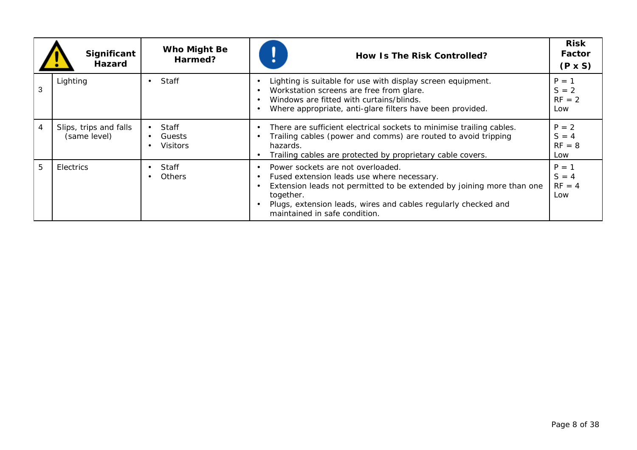|   | Significant<br><b>Hazard</b>           | Who Might Be<br>Harmed?                   | How Is The Risk Controlled?                                                                                                                                                                                                                                                                        | <b>Risk</b><br>Factor<br>$(P \times S)$ |
|---|----------------------------------------|-------------------------------------------|----------------------------------------------------------------------------------------------------------------------------------------------------------------------------------------------------------------------------------------------------------------------------------------------------|-----------------------------------------|
| 3 | Lighting                               | <b>Staff</b>                              | Lighting is suitable for use with display screen equipment.<br>$\bullet$<br>Workstation screens are free from glare.<br>Windows are fitted with curtains/blinds.<br>Where appropriate, anti-glare filters have been provided.                                                                      | $P = 1$<br>$S = 2$<br>$RF = 2$<br>Low   |
| 4 | Slips, trips and falls<br>(same level) | <b>Staff</b><br>Guests<br><b>Visitors</b> | There are sufficient electrical sockets to minimise trailing cables.<br>$\bullet$<br>Trailing cables (power and comms) are routed to avoid tripping<br>hazards.<br>Trailing cables are protected by proprietary cable covers.                                                                      | $P = 2$<br>$S = 4$<br>$RF = 8$<br>Low   |
| 5 | <b>Electrics</b>                       | <b>Staff</b><br><b>Others</b>             | Power sockets are not overloaded.<br>$\bullet$<br>Fused extension leads use where necessary.<br>$\bullet$<br>Extension leads not permitted to be extended by joining more than one<br>together.<br>Plugs, extension leads, wires and cables regularly checked and<br>maintained in safe condition. | $P = 1$<br>$S = 4$<br>$RF = 4$<br>Low   |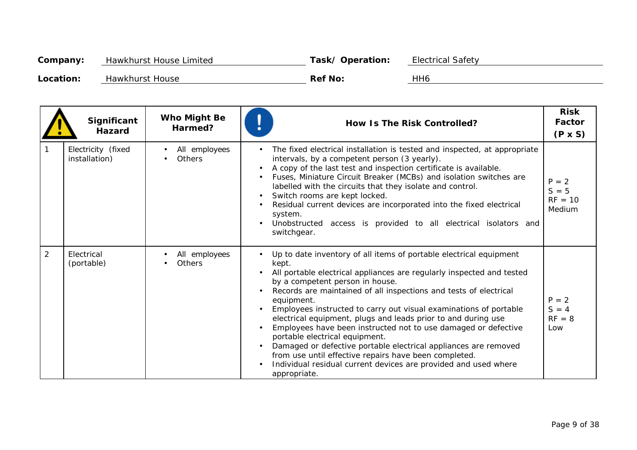| Company:  | <b>Hawkhurst House Limited</b> | Task/Operation: | <b>Electrical Safety</b> |
|-----------|--------------------------------|-----------------|--------------------------|
| Location: | <b>Hawkhurst House</b>         | <b>Ref No:</b>  | HH6                      |

|                | Significant<br><b>Hazard</b>        | Who Might Be<br>Harmed?        | <b>How Is The Risk Controlled?</b>                                                                                                                                                                                                                                                                                                                                                                                                                                                                                                                                                                                                                                                                                                  | <b>Risk</b><br>Factor<br>$(P \times S)$   |
|----------------|-------------------------------------|--------------------------------|-------------------------------------------------------------------------------------------------------------------------------------------------------------------------------------------------------------------------------------------------------------------------------------------------------------------------------------------------------------------------------------------------------------------------------------------------------------------------------------------------------------------------------------------------------------------------------------------------------------------------------------------------------------------------------------------------------------------------------------|-------------------------------------------|
|                | Electricity (fixed<br>installation) | All employees<br><b>Others</b> | The fixed electrical installation is tested and inspected, at appropriate<br>intervals, by a competent person (3 yearly).<br>A copy of the last test and inspection certificate is available.<br>Fuses, Miniature Circuit Breaker (MCBs) and isolation switches are<br>labelled with the circuits that they isolate and control.<br>Switch rooms are kept locked.<br>Residual current devices are incorporated into the fixed electrical<br>system.<br>Unobstructed access is provided to all electrical isolators and<br>switchgear.                                                                                                                                                                                               | $P = 2$<br>$S = 5$<br>$RF = 10$<br>Medium |
| $\overline{2}$ | Electrical<br>(portable)            | All employees<br><b>Others</b> | Up to date inventory of all items of portable electrical equipment<br>kept.<br>All portable electrical appliances are regularly inspected and tested<br>by a competent person in house.<br>Records are maintained of all inspections and tests of electrical<br>equipment.<br>Employees instructed to carry out visual examinations of portable<br>electrical equipment, plugs and leads prior to and during use<br>Employees have been instructed not to use damaged or defective<br>portable electrical equipment.<br>Damaged or defective portable electrical appliances are removed<br>from use until effective repairs have been completed.<br>Individual residual current devices are provided and used where<br>appropriate. | $P = 2$<br>$S = 4$<br>$RF = 8$<br>Low     |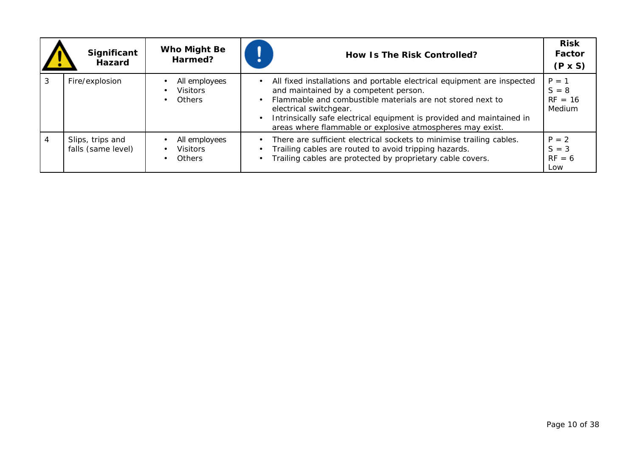|   | Significant<br><b>Hazard</b>           | Who Might Be<br>Harmed?                           | How Is The Risk Controlled?                                                                                                                                                                                                                                                                                                                    | <b>Risk</b><br>Factor<br>$(P \times S)$   |
|---|----------------------------------------|---------------------------------------------------|------------------------------------------------------------------------------------------------------------------------------------------------------------------------------------------------------------------------------------------------------------------------------------------------------------------------------------------------|-------------------------------------------|
| 3 | Fire/explosion                         | All employees<br><b>Visitors</b><br><b>Others</b> | All fixed installations and portable electrical equipment are inspected<br>and maintained by a competent person.<br>Flammable and combustible materials are not stored next to<br>electrical switchgear.<br>Intrinsically safe electrical equipment is provided and maintained in<br>areas where flammable or explosive atmospheres may exist. | $P = 1$<br>$S = 8$<br>$RF = 16$<br>Medium |
| 4 | Slips, trips and<br>falls (same level) | All employees<br><b>Visitors</b><br><b>Others</b> | There are sufficient electrical sockets to minimise trailing cables.<br>Trailing cables are routed to avoid tripping hazards.<br>Trailing cables are protected by proprietary cable covers.                                                                                                                                                    | $P = 2$<br>$S = 3$<br>$RF = 6$<br>Low     |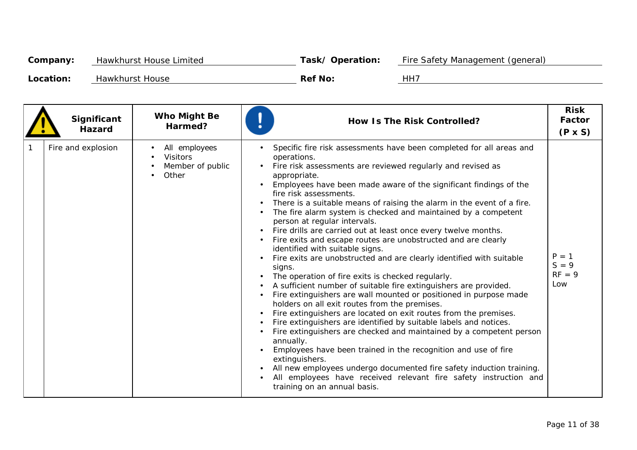| Company:  | <b>Hawkhurst House Limited</b> | Task/Operation: | Fire Safety Management (general) |
|-----------|--------------------------------|-----------------|----------------------------------|
| Location: | <b>Hawkhurst House</b>         | <b>Ref No:</b>  | HH7                              |

| Significant<br><b>Hazard</b> | <b>Who Might Be</b><br>Harmed?                                | <b>How Is The Risk Controlled?</b>                                                                                                                                                                                                                                                                                                                                                                                                                                                                                                                                                                                                                                                                                                                                                                                                                                                                                                                                                                                                                                                                                                                                                                                                                                                                                                                                                                                                                | <b>Risk</b><br>Factor<br>$(P \times S)$ |
|------------------------------|---------------------------------------------------------------|---------------------------------------------------------------------------------------------------------------------------------------------------------------------------------------------------------------------------------------------------------------------------------------------------------------------------------------------------------------------------------------------------------------------------------------------------------------------------------------------------------------------------------------------------------------------------------------------------------------------------------------------------------------------------------------------------------------------------------------------------------------------------------------------------------------------------------------------------------------------------------------------------------------------------------------------------------------------------------------------------------------------------------------------------------------------------------------------------------------------------------------------------------------------------------------------------------------------------------------------------------------------------------------------------------------------------------------------------------------------------------------------------------------------------------------------------|-----------------------------------------|
| Fire and explosion           | All employees<br><b>Visitors</b><br>Member of public<br>Other | Specific fire risk assessments have been completed for all areas and<br>operations.<br>Fire risk assessments are reviewed regularly and revised as<br>appropriate.<br>Employees have been made aware of the significant findings of the<br>fire risk assessments.<br>There is a suitable means of raising the alarm in the event of a fire.<br>The fire alarm system is checked and maintained by a competent<br>person at regular intervals.<br>Fire drills are carried out at least once every twelve months.<br>Fire exits and escape routes are unobstructed and are clearly<br>identified with suitable signs.<br>Fire exits are unobstructed and are clearly identified with suitable<br>signs.<br>The operation of fire exits is checked regularly.<br>A sufficient number of suitable fire extinguishers are provided.<br>Fire extinguishers are wall mounted or positioned in purpose made<br>holders on all exit routes from the premises.<br>Fire extinguishers are located on exit routes from the premises.<br>Fire extinguishers are identified by suitable labels and notices.<br>Fire extinguishers are checked and maintained by a competent person<br>annually.<br>Employees have been trained in the recognition and use of fire<br>extinguishers.<br>All new employees undergo documented fire safety induction training.<br>All employees have received relevant fire safety instruction and<br>training on an annual basis. | $P = 1$<br>$S = 9$<br>$RF = 9$<br>Low   |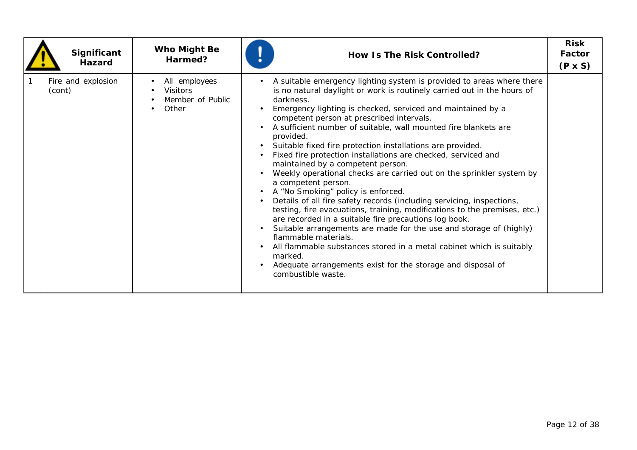| Significant<br><b>Hazard</b> | Who Might Be<br>Harmed?                                       | <b>How Is The Risk Controlled?</b>                                                                                                                                                                                                                                                                                                                                                                                                                                                                                                                                                                                                                                                                                                                                                                                                                                                                                                                                                                                                                                                                                                                      | <b>Risk</b><br>Factor<br>$(P \times S)$ |
|------------------------------|---------------------------------------------------------------|---------------------------------------------------------------------------------------------------------------------------------------------------------------------------------------------------------------------------------------------------------------------------------------------------------------------------------------------------------------------------------------------------------------------------------------------------------------------------------------------------------------------------------------------------------------------------------------------------------------------------------------------------------------------------------------------------------------------------------------------------------------------------------------------------------------------------------------------------------------------------------------------------------------------------------------------------------------------------------------------------------------------------------------------------------------------------------------------------------------------------------------------------------|-----------------------------------------|
| Fire and explosion<br>(cont) | All employees<br><b>Visitors</b><br>Member of Public<br>Other | A suitable emergency lighting system is provided to areas where there<br>is no natural daylight or work is routinely carried out in the hours of<br>darkness.<br>Emergency lighting is checked, serviced and maintained by a<br>competent person at prescribed intervals.<br>A sufficient number of suitable, wall mounted fire blankets are<br>provided.<br>Suitable fixed fire protection installations are provided.<br>Fixed fire protection installations are checked, serviced and<br>maintained by a competent person.<br>Weekly operational checks are carried out on the sprinkler system by<br>a competent person.<br>A "No Smoking" policy is enforced.<br>Details of all fire safety records (including servicing, inspections,<br>testing, fire evacuations, training, modifications to the premises, etc.)<br>are recorded in a suitable fire precautions log book.<br>Suitable arrangements are made for the use and storage of (highly)<br>flammable materials.<br>All flammable substances stored in a metal cabinet which is suitably<br>marked.<br>Adequate arrangements exist for the storage and disposal of<br>combustible waste. |                                         |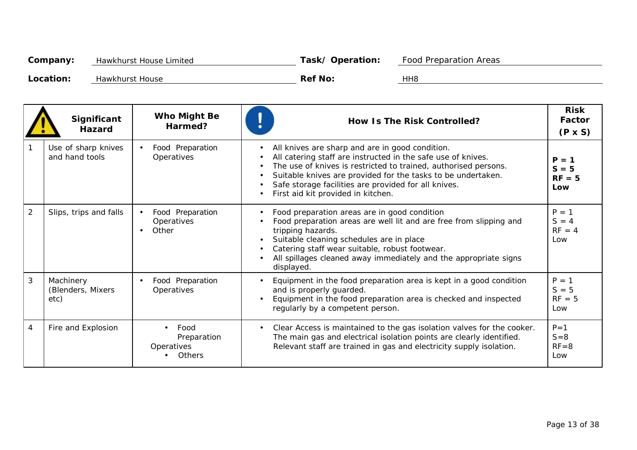| Company:  | <b>Hawkhurst House Limited</b> | Task/Operation: | <b>Food Preparation Areas</b> |
|-----------|--------------------------------|-----------------|-------------------------------|
| Location: | <b>Hawkhurst House</b>         | <b>Ref No:</b>  | HH8                           |

|                | Significant<br><b>Hazard</b>           | <b>Who Might Be</b><br>Harmed?                           | <b>How Is The Risk Controlled?</b>                                                                                                                                                                                                                                                                                                               | <b>Risk</b><br>Factor<br>$(P \times S)$ |
|----------------|----------------------------------------|----------------------------------------------------------|--------------------------------------------------------------------------------------------------------------------------------------------------------------------------------------------------------------------------------------------------------------------------------------------------------------------------------------------------|-----------------------------------------|
|                | Use of sharp knives<br>and hand tools  | Food Preparation<br>$\bullet$<br>Operatives              | All knives are sharp and are in good condition.<br>All catering staff are instructed in the safe use of knives.<br>The use of knives is restricted to trained, authorised persons.<br>Suitable knives are provided for the tasks to be undertaken.<br>Safe storage facilities are provided for all knives.<br>First aid kit provided in kitchen. | $P = 1$<br>$S = 5$<br>$RF = 5$<br>Low   |
| $\overline{2}$ | Slips, trips and falls                 | Food Preparation<br>$\bullet$<br>Operatives<br>Other     | Food preparation areas are in good condition<br>Food preparation areas are well lit and are free from slipping and<br>tripping hazards.<br>Suitable cleaning schedules are in place<br>Catering staff wear suitable, robust footwear.<br>All spillages cleaned away immediately and the appropriate signs<br>displayed.                          | $P = 1$<br>$S = 4$<br>$RF = 4$<br>Low   |
| 3              | Machinery<br>(Blenders, Mixers<br>etc) | Food Preparation<br>$\bullet$<br>Operatives              | Equipment in the food preparation area is kept in a good condition<br>and is properly guarded.<br>Equipment in the food preparation area is checked and inspected<br>regularly by a competent person.                                                                                                                                            | $P = 1$<br>$S = 5$<br>$RF = 5$<br>Low   |
| 4              | Fire and Explosion                     | Food<br>$\bullet$<br>Preparation<br>Operatives<br>Others | Clear Access is maintained to the gas isolation valves for the cooker.<br>The main gas and electrical isolation points are clearly identified.<br>Relevant staff are trained in gas and electricity supply isolation.                                                                                                                            | $P = 1$<br>$S = 8$<br>$RF = 8$<br>Low   |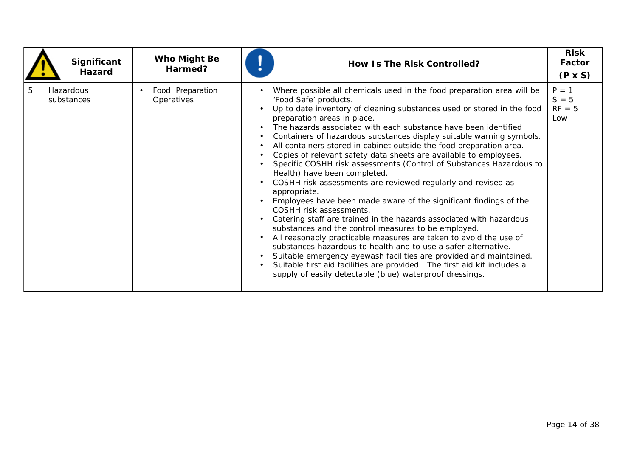|   | Significant<br><b>Hazard</b> | Who Might Be<br>Harmed?               | How Is The Risk Controlled?                                                                                                                                                                                                                                                                                                                                                                                                                                                                                                                                                                                                                                                                                                                                                                                                                                                                                                                                                                                                                                                                                                                                                                                                                                                      | <b>Risk</b><br>Factor<br>$(P \times S)$ |
|---|------------------------------|---------------------------------------|----------------------------------------------------------------------------------------------------------------------------------------------------------------------------------------------------------------------------------------------------------------------------------------------------------------------------------------------------------------------------------------------------------------------------------------------------------------------------------------------------------------------------------------------------------------------------------------------------------------------------------------------------------------------------------------------------------------------------------------------------------------------------------------------------------------------------------------------------------------------------------------------------------------------------------------------------------------------------------------------------------------------------------------------------------------------------------------------------------------------------------------------------------------------------------------------------------------------------------------------------------------------------------|-----------------------------------------|
| 5 | Hazardous<br>substances      | Food Preparation<br><b>Operatives</b> | Where possible all chemicals used in the food preparation area will be<br>'Food Safe' products.<br>Up to date inventory of cleaning substances used or stored in the food<br>preparation areas in place.<br>The hazards associated with each substance have been identified<br>Containers of hazardous substances display suitable warning symbols.<br>All containers stored in cabinet outside the food preparation area.<br>Copies of relevant safety data sheets are available to employees.<br>Specific COSHH risk assessments (Control of Substances Hazardous to<br>Health) have been completed.<br>COSHH risk assessments are reviewed regularly and revised as<br>appropriate.<br>Employees have been made aware of the significant findings of the<br><b>COSHH risk assessments.</b><br>Catering staff are trained in the hazards associated with hazardous<br>substances and the control measures to be employed.<br>All reasonably practicable measures are taken to avoid the use of<br>substances hazardous to health and to use a safer alternative.<br>Suitable emergency eyewash facilities are provided and maintained.<br>Suitable first aid facilities are provided. The first aid kit includes a<br>supply of easily detectable (blue) waterproof dressings. | $P = 1$<br>$S = 5$<br>$RF = 5$<br>Low   |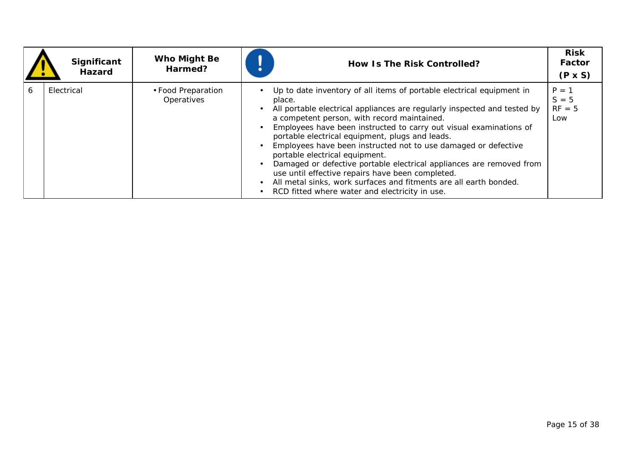|   | Significant<br><b>Hazard</b> | Who Might Be<br>Harmed?                 | How Is The Risk Controlled?                                                                                                                                                                                                                                                                                                                                                                                                                                                                                                                                                                                                                                                                | <b>Risk</b><br>Factor<br>$(P \times S)$ |
|---|------------------------------|-----------------------------------------|--------------------------------------------------------------------------------------------------------------------------------------------------------------------------------------------------------------------------------------------------------------------------------------------------------------------------------------------------------------------------------------------------------------------------------------------------------------------------------------------------------------------------------------------------------------------------------------------------------------------------------------------------------------------------------------------|-----------------------------------------|
| 6 | Electrical                   | • Food Preparation<br><b>Operatives</b> | Up to date inventory of all items of portable electrical equipment in<br>place.<br>All portable electrical appliances are regularly inspected and tested by<br>a competent person, with record maintained.<br>Employees have been instructed to carry out visual examinations of<br>portable electrical equipment, plugs and leads.<br>Employees have been instructed not to use damaged or defective<br>portable electrical equipment.<br>Damaged or defective portable electrical appliances are removed from<br>use until effective repairs have been completed.<br>All metal sinks, work surfaces and fitments are all earth bonded.<br>RCD fitted where water and electricity in use. | $P = 1$<br>$S = 5$<br>$RF = 5$<br>Low   |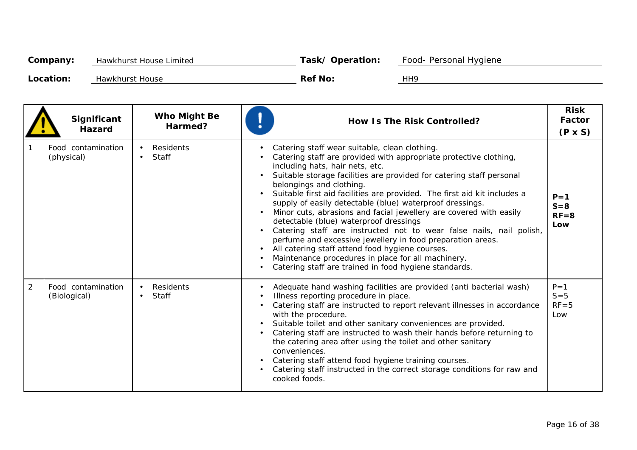| Company:  | <b>Hawkhurst House Limited</b> | Task/Operation: | Food- Personal Hygiene |
|-----------|--------------------------------|-----------------|------------------------|
| Location: | <b>Hawkhurst House</b>         | <b>Ref No:</b>  | HH9                    |

|                | Significant<br><b>Hazard</b>       | <b>Who Might Be</b><br>Harmed?                | <b>How Is The Risk Controlled?</b>                                                                                                                                                                                                                                                                                                                                                                                                                                                                                                                                                                                                                                                                                                                                                                                       | <b>Risk</b><br>Factor<br>$(P \times S)$ |
|----------------|------------------------------------|-----------------------------------------------|--------------------------------------------------------------------------------------------------------------------------------------------------------------------------------------------------------------------------------------------------------------------------------------------------------------------------------------------------------------------------------------------------------------------------------------------------------------------------------------------------------------------------------------------------------------------------------------------------------------------------------------------------------------------------------------------------------------------------------------------------------------------------------------------------------------------------|-----------------------------------------|
|                | Food contamination<br>(physical)   | Residents<br>$\bullet$<br><b>Staff</b>        | Catering staff wear suitable, clean clothing.<br>Catering staff are provided with appropriate protective clothing,<br>including hats, hair nets, etc.<br>Suitable storage facilities are provided for catering staff personal<br>belongings and clothing.<br>Suitable first aid facilities are provided. The first aid kit includes a<br>supply of easily detectable (blue) waterproof dressings.<br>Minor cuts, abrasions and facial jewellery are covered with easily<br>detectable (blue) waterproof dressings<br>Catering staff are instructed not to wear false nails, nail polish,<br>perfume and excessive jewellery in food preparation areas.<br>All catering staff attend food hygiene courses.<br>Maintenance procedures in place for all machinery.<br>Catering staff are trained in food hygiene standards. | $P = 1$<br>$S = 8$<br>$RF = 8$<br>Low   |
| $\overline{2}$ | Food contamination<br>(Biological) | <b>Residents</b><br>$\bullet$<br><b>Staff</b> | Adequate hand washing facilities are provided (anti bacterial wash)<br>Illness reporting procedure in place.<br>Catering staff are instructed to report relevant illnesses in accordance<br>with the procedure.<br>Suitable toilet and other sanitary conveniences are provided.<br>Catering staff are instructed to wash their hands before returning to<br>$\bullet$<br>the catering area after using the toilet and other sanitary<br>conveniences.<br>Catering staff attend food hygiene training courses.<br>Catering staff instructed in the correct storage conditions for raw and<br>cooked foods.                                                                                                                                                                                                               | $P = 1$<br>$S = 5$<br>$RF = 5$<br>Low   |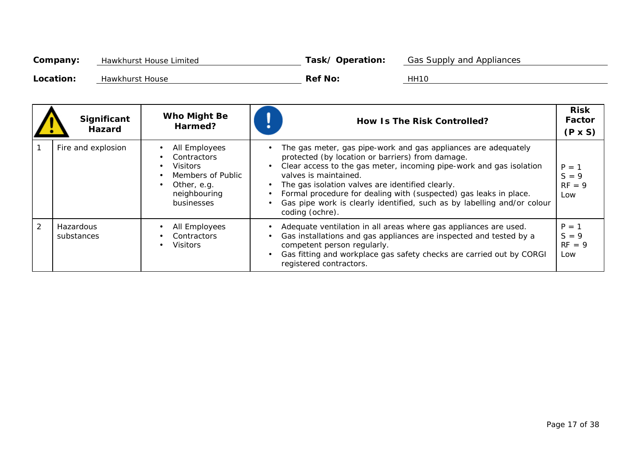| Company:  | <b>Hawkhurst House Limited</b> | Task/Operation: | <b>Gas Supply and Appliances</b> |
|-----------|--------------------------------|-----------------|----------------------------------|
| Location: | <b>Hawkhurst House</b>         | <b>Ref No:</b>  | <b>HH10</b>                      |

|                | Significant<br><b>Hazard</b>   | Who Might Be<br>Harmed?                                                                                                  | How Is The Risk Controlled?                                                                                                                                                                                                                                                                                                                                                                                                               | <b>Risk</b><br>Factor<br>$(P \times S)$ |
|----------------|--------------------------------|--------------------------------------------------------------------------------------------------------------------------|-------------------------------------------------------------------------------------------------------------------------------------------------------------------------------------------------------------------------------------------------------------------------------------------------------------------------------------------------------------------------------------------------------------------------------------------|-----------------------------------------|
|                | Fire and explosion             | All Employees<br><b>Contractors</b><br><b>Visitors</b><br>Members of Public<br>Other, e.g.<br>neighbouring<br>businesses | The gas meter, gas pipe-work and gas appliances are adequately<br>protected (by location or barriers) from damage.<br>Clear access to the gas meter, incoming pipe-work and gas isolation<br>valves is maintained.<br>The gas isolation valves are identified clearly.<br>Formal procedure for dealing with (suspected) gas leaks in place.<br>Gas pipe work is clearly identified, such as by labelling and/or colour<br>coding (ochre). | $P = 1$<br>$S = 9$<br>$RF = 9$<br>Low   |
| $\overline{2}$ | <b>Hazardous</b><br>substances | All Employees<br><b>Contractors</b><br><b>Visitors</b>                                                                   | Adequate ventilation in all areas where gas appliances are used.<br>Gas installations and gas appliances are inspected and tested by a<br>competent person regularly.<br>Gas fitting and workplace gas safety checks are carried out by CORGI<br>registered contractors.                                                                                                                                                                  | $P = 1$<br>$S = 9$<br>$RF = 9$<br>Low   |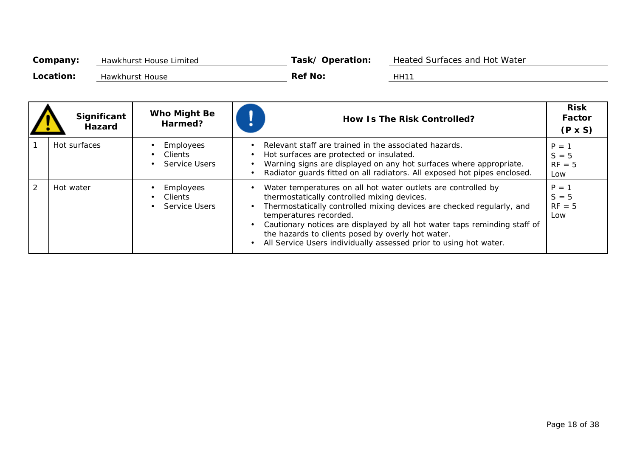| Company:  | <b>Hawkhurst House Limited</b> | Task/Operation: | <b>Heated Surfaces and Hot Water</b> |
|-----------|--------------------------------|-----------------|--------------------------------------|
| Location: | <b>Hawkhurst House</b>         | <b>Ref No:</b>  | HH1'                                 |

|                | Significant<br><b>Hazard</b> | Who Might Be<br>Harmed?                                    | How Is The Risk Controlled?                                                                                                                                                                                                                                                                                                                                                                                            | <b>Risk</b><br>Factor<br>$(P \times S)$ |
|----------------|------------------------------|------------------------------------------------------------|------------------------------------------------------------------------------------------------------------------------------------------------------------------------------------------------------------------------------------------------------------------------------------------------------------------------------------------------------------------------------------------------------------------------|-----------------------------------------|
|                | Hot surfaces                 | <b>Employees</b><br><b>Clients</b><br><b>Service Users</b> | Relevant staff are trained in the associated hazards.<br>Hot surfaces are protected or insulated.<br>Warning signs are displayed on any hot surfaces where appropriate.<br>Radiator guards fitted on all radiators. All exposed hot pipes enclosed.                                                                                                                                                                    | $P = 1$<br>$S = 5$<br>$RF = 5$<br>Low   |
| $\overline{2}$ | Hot water                    | <b>Employees</b><br><b>Clients</b><br><b>Service Users</b> | Water temperatures on all hot water outlets are controlled by<br>thermostatically controlled mixing devices.<br>Thermostatically controlled mixing devices are checked regularly, and<br>temperatures recorded.<br>Cautionary notices are displayed by all hot water taps reminding staff of<br>the hazards to clients posed by overly hot water.<br>All Service Users individually assessed prior to using hot water. | $P = 1$<br>$S = 5$<br>$RF = 5$<br>Low   |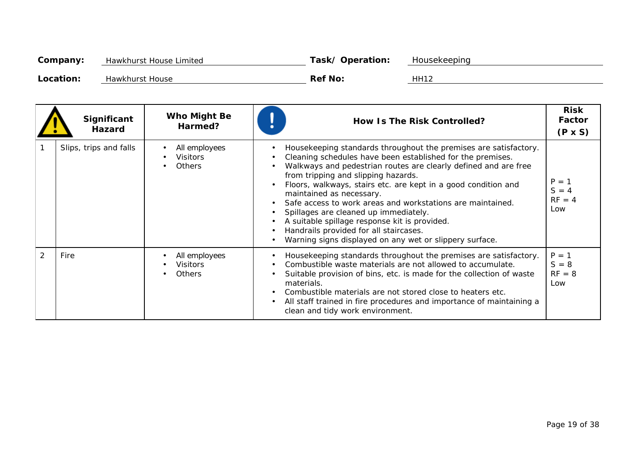| Company:  | <b>Hawkhurst House Limited</b> | Task/Operation: | Housekeeping |
|-----------|--------------------------------|-----------------|--------------|
| Location: | <b>Hawkhurst House</b>         | <b>Ref No:</b>  | <b>HH12</b>  |

|                | Significant<br><b>Hazard</b> | Who Might Be<br>Harmed?                           | How Is The Risk Controlled?                                                                                                                                                                                                                                                                                                                                                                                                                                                                                                                                                                                                                                          | <b>Risk</b><br>Factor<br>$(P \times S)$ |
|----------------|------------------------------|---------------------------------------------------|----------------------------------------------------------------------------------------------------------------------------------------------------------------------------------------------------------------------------------------------------------------------------------------------------------------------------------------------------------------------------------------------------------------------------------------------------------------------------------------------------------------------------------------------------------------------------------------------------------------------------------------------------------------------|-----------------------------------------|
|                | Slips, trips and falls       | All employees<br><b>Visitors</b><br><b>Others</b> | Housekeeping standards throughout the premises are satisfactory.<br>$\bullet$<br>Cleaning schedules have been established for the premises.<br>$\bullet$<br>Walkways and pedestrian routes are clearly defined and are free<br>from tripping and slipping hazards.<br>Floors, walkways, stairs etc. are kept in a good condition and<br>$\bullet$<br>maintained as necessary.<br>Safe access to work areas and workstations are maintained.<br>$\bullet$<br>Spillages are cleaned up immediately.<br>A suitable spillage response kit is provided.<br>Handrails provided for all staircases.<br>$\bullet$<br>Warning signs displayed on any wet or slippery surface. | $P = 1$<br>$S = 4$<br>$RF = 4$<br>Low   |
| $\overline{2}$ | <b>Fire</b>                  | All employees<br><b>Visitors</b><br><b>Others</b> | Housekeeping standards throughout the premises are satisfactory.<br>$\bullet$<br>Combustible waste materials are not allowed to accumulate.<br>$\bullet$<br>Suitable provision of bins, etc. is made for the collection of waste<br>materials.<br>Combustible materials are not stored close to heaters etc.<br>$\bullet$<br>All staff trained in fire procedures and importance of maintaining a<br>$\bullet$<br>clean and tidy work environment.                                                                                                                                                                                                                   | $P = 1$<br>$S = 8$<br>$RF = 8$<br>Low   |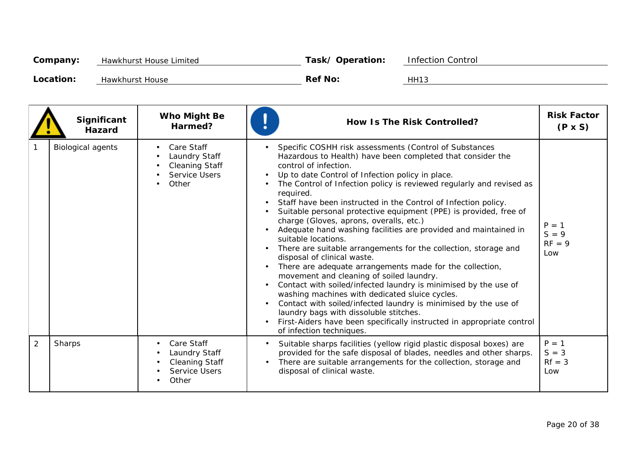| Company:  | <b>Hawkhurst House Limited</b> | Task/Operation: | <b>Infection Control</b> |
|-----------|--------------------------------|-----------------|--------------------------|
| Location: | <b>Hawkhurst House</b>         | <b>Ref No:</b>  | <b>HH13</b>              |

|   | Significant<br><b>Hazard</b> | Who Might Be<br>Harmed?                                                                             | <b>How Is The Risk Controlled?</b>                                                                                                                                                                                                                                                                                                                                                                                                                                                                                                                                                                                                                                                                                                                                                                                                                                                                                                                                                                                                                                                                                  | <b>Risk Factor</b><br>$(P \times S)$  |
|---|------------------------------|-----------------------------------------------------------------------------------------------------|---------------------------------------------------------------------------------------------------------------------------------------------------------------------------------------------------------------------------------------------------------------------------------------------------------------------------------------------------------------------------------------------------------------------------------------------------------------------------------------------------------------------------------------------------------------------------------------------------------------------------------------------------------------------------------------------------------------------------------------------------------------------------------------------------------------------------------------------------------------------------------------------------------------------------------------------------------------------------------------------------------------------------------------------------------------------------------------------------------------------|---------------------------------------|
|   | <b>Biological agents</b>     | Care Staff<br><b>Laundry Staff</b><br><b>Cleaning Staff</b><br><b>Service Users</b><br>Other        | Specific COSHH risk assessments (Control of Substances<br>Hazardous to Health) have been completed that consider the<br>control of infection.<br>Up to date Control of Infection policy in place.<br>The Control of Infection policy is reviewed regularly and revised as<br>required.<br>Staff have been instructed in the Control of Infection policy.<br>Suitable personal protective equipment (PPE) is provided, free of<br>charge (Gloves, aprons, overalls, etc.)<br>Adequate hand washing facilities are provided and maintained in<br>suitable locations.<br>There are suitable arrangements for the collection, storage and<br>disposal of clinical waste.<br>There are adequate arrangements made for the collection,<br>movement and cleaning of soiled laundry.<br>Contact with soiled/infected laundry is minimised by the use of<br>washing machines with dedicated sluice cycles.<br>Contact with soiled/infected laundry is minimised by the use of<br>laundry bags with dissoluble stitches.<br>First-Aiders have been specifically instructed in appropriate control<br>of infection techniques. | $P = 1$<br>$S = 9$<br>$RF = 9$<br>Low |
| 2 | <b>Sharps</b>                | <b>Care Staff</b><br><b>Laundry Staff</b><br><b>Cleaning Staff</b><br><b>Service Users</b><br>Other | Suitable sharps facilities (yellow rigid plastic disposal boxes) are<br>provided for the safe disposal of blades, needles and other sharps.<br>There are suitable arrangements for the collection, storage and<br>disposal of clinical waste.                                                                                                                                                                                                                                                                                                                                                                                                                                                                                                                                                                                                                                                                                                                                                                                                                                                                       | $P = 1$<br>$S = 3$<br>$Rf = 3$<br>Low |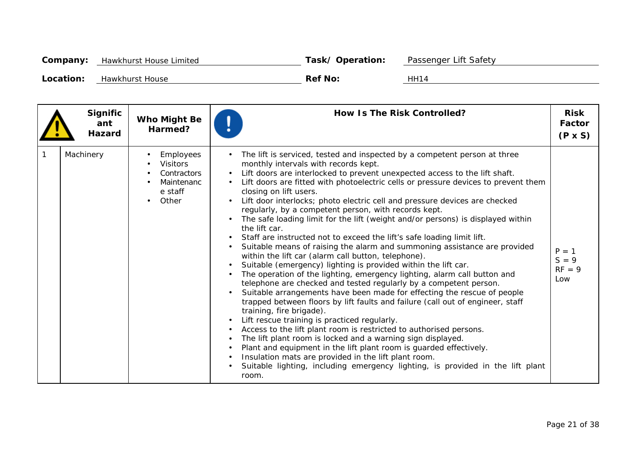| Company:  | <b>Hawkhurst House Limited</b> | Task/Operation: | Passenger Lift Safety |
|-----------|--------------------------------|-----------------|-----------------------|
| Location: | <b>Hawkhurst House</b>         | <b>Ref No:</b>  | <b>HH14</b>           |

| Signific<br>ant<br>Hazard | Who Might Be<br>Harmed?                                                              | <b>How Is The Risk Controlled?</b>                                                                                                                                                                                                                                                                                                                                                                                                                                                                                                                                                                                                                                                                                                                                                                                                                                                                                                                                                                                                                                                                                                                                                                                                                                                                                                                                                                                                                                                                                                                                                                | <b>Risk</b><br>Factor<br>$(P \times S)$ |
|---------------------------|--------------------------------------------------------------------------------------|---------------------------------------------------------------------------------------------------------------------------------------------------------------------------------------------------------------------------------------------------------------------------------------------------------------------------------------------------------------------------------------------------------------------------------------------------------------------------------------------------------------------------------------------------------------------------------------------------------------------------------------------------------------------------------------------------------------------------------------------------------------------------------------------------------------------------------------------------------------------------------------------------------------------------------------------------------------------------------------------------------------------------------------------------------------------------------------------------------------------------------------------------------------------------------------------------------------------------------------------------------------------------------------------------------------------------------------------------------------------------------------------------------------------------------------------------------------------------------------------------------------------------------------------------------------------------------------------------|-----------------------------------------|
| Machinery                 | <b>Employees</b><br><b>Visitors</b><br>Contractors<br>Maintenanc<br>e staff<br>Other | The lift is serviced, tested and inspected by a competent person at three<br>monthly intervals with records kept.<br>Lift doors are interlocked to prevent unexpected access to the lift shaft.<br>Lift doors are fitted with photoelectric cells or pressure devices to prevent them<br>closing on lift users.<br>Lift door interlocks; photo electric cell and pressure devices are checked<br>regularly, by a competent person, with records kept.<br>The safe loading limit for the lift (weight and/or persons) is displayed within<br>the lift car.<br>Staff are instructed not to exceed the lift's safe loading limit lift.<br>Suitable means of raising the alarm and summoning assistance are provided<br>within the lift car (alarm call button, telephone).<br>Suitable (emergency) lighting is provided within the lift car.<br>The operation of the lighting, emergency lighting, alarm call button and<br>telephone are checked and tested regularly by a competent person.<br>Suitable arrangements have been made for effecting the rescue of people<br>trapped between floors by lift faults and failure (call out of engineer, staff<br>training, fire brigade).<br>Lift rescue training is practiced regularly.<br>Access to the lift plant room is restricted to authorised persons.<br>The lift plant room is locked and a warning sign displayed.<br>Plant and equipment in the lift plant room is guarded effectively.<br>Insulation mats are provided in the lift plant room.<br>Suitable lighting, including emergency lighting, is provided in the lift plant<br>room. | $P = 1$<br>$S = 9$<br>$RF = 9$<br>Low   |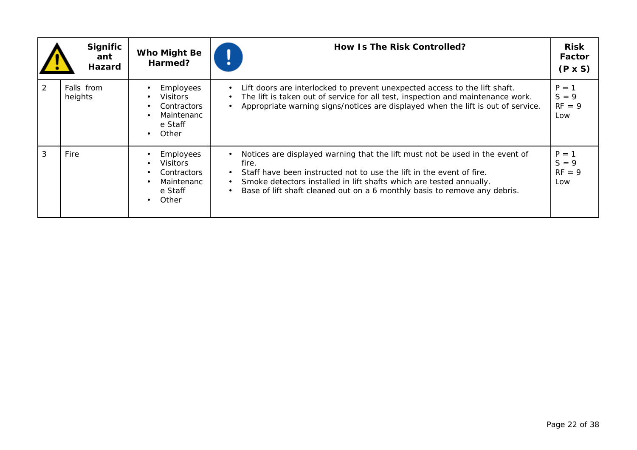|                | <b>Signific</b><br>ant<br><b>Hazard</b> | Who Might Be<br>Harmed?                                                                                  | How Is The Risk Controlled?                                                                                                                                                                                                                                                                                       | <b>Risk</b><br>Factor<br>$(P \times S)$ |
|----------------|-----------------------------------------|----------------------------------------------------------------------------------------------------------|-------------------------------------------------------------------------------------------------------------------------------------------------------------------------------------------------------------------------------------------------------------------------------------------------------------------|-----------------------------------------|
| $\overline{2}$ | Falls from<br>heights                   | <b>Employees</b><br><b>Visitors</b><br><b>Contractors</b><br>Maintenanc<br>e Staff<br>Other<br>$\bullet$ | Lift doors are interlocked to prevent unexpected access to the lift shaft.<br>The lift is taken out of service for all test, inspection and maintenance work.<br>Appropriate warning signs/notices are displayed when the lift is out of service.                                                                 | $P = 1$<br>$S = 9$<br>$RF = 9$<br>Low   |
| 3              | Fire                                    | <b>Employees</b><br><b>Visitors</b><br><b>Contractors</b><br>Maintenanc<br>e Staff<br>Other              | Notices are displayed warning that the lift must not be used in the event of<br>fire.<br>Staff have been instructed not to use the lift in the event of fire.<br>Smoke detectors installed in lift shafts which are tested annually.<br>Base of lift shaft cleaned out on a 6 monthly basis to remove any debris. | $P = 1$<br>$S = 9$<br>$RF = 9$<br>Low   |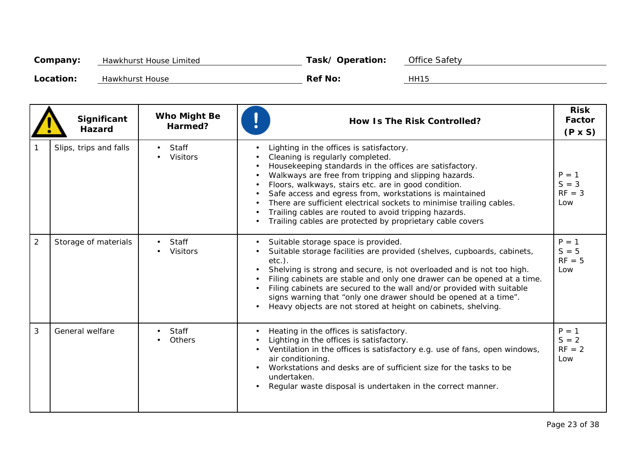| Company:  | <b>Hawkhurst House Limited</b> | Task/Operation: | <b>Office Safety</b> |
|-----------|--------------------------------|-----------------|----------------------|
| Location: | <b>Hawkhurst House</b>         | <b>Ref No:</b>  | <b>HH15</b>          |

|                | Significant<br><b>Hazard</b> | Who Might Be<br>Harmed?         | How Is The Risk Controlled?                                                                                                                                                                                                                                                                                                                                                                                                                                                                                                                                                        | <b>Risk</b><br>Factor<br>$(P \times S)$ |
|----------------|------------------------------|---------------------------------|------------------------------------------------------------------------------------------------------------------------------------------------------------------------------------------------------------------------------------------------------------------------------------------------------------------------------------------------------------------------------------------------------------------------------------------------------------------------------------------------------------------------------------------------------------------------------------|-----------------------------------------|
|                | Slips, trips and falls       | <b>Staff</b><br><b>Visitors</b> | Lighting in the offices is satisfactory.<br>$\bullet$<br>Cleaning is regularly completed.<br>Housekeeping standards in the offices are satisfactory.<br>Walkways are free from tripping and slipping hazards.<br>$\bullet$<br>Floors, walkways, stairs etc. are in good condition.<br>Safe access and egress from, workstations is maintained<br>$\bullet$<br>There are sufficient electrical sockets to minimise trailing cables.<br>$\bullet$<br>Trailing cables are routed to avoid tripping hazards.<br>$\bullet$<br>Trailing cables are protected by proprietary cable covers | $P = 1$<br>$S = 3$<br>$RF = 3$<br>Low   |
| $\overline{2}$ | Storage of materials         | <b>Staff</b><br><b>Visitors</b> | Suitable storage space is provided.<br>Suitable storage facilities are provided (shelves, cupboards, cabinets,<br>$etc.$ ).<br>Shelving is strong and secure, is not overloaded and is not too high.<br>Filing cabinets are stable and only one drawer can be opened at a time.<br>Filing cabinets are secured to the wall and/or provided with suitable<br>signs warning that "only one drawer should be opened at a time".<br>Heavy objects are not stored at height on cabinets, shelving.<br>$\bullet$                                                                         | $P = 1$<br>$S = 5$<br>$RF = 5$<br>Low   |
| 3              | General welfare              | <b>Staff</b><br><b>Others</b>   | Heating in the offices is satisfactory.<br>$\bullet$<br>Lighting in the offices is satisfactory.<br>Ventilation in the offices is satisfactory e.g. use of fans, open windows,<br>air conditioning.<br>Workstations and desks are of sufficient size for the tasks to be<br>$\bullet$<br>undertaken.<br>Regular waste disposal is undertaken in the correct manner.                                                                                                                                                                                                                | $P = 1$<br>$S = 2$<br>$RF = 2$<br>Low   |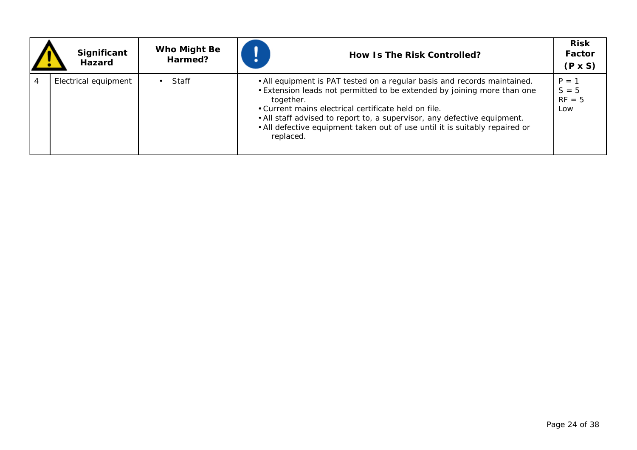| Significant<br><b>Hazard</b> | Who Might Be<br>Harmed? | How Is The Risk Controlled?                                                                                                                                                                                                                                                                                                                                                                      | <b>Risk</b><br>Factor<br>$(P \times S)$ |
|------------------------------|-------------------------|--------------------------------------------------------------------------------------------------------------------------------------------------------------------------------------------------------------------------------------------------------------------------------------------------------------------------------------------------------------------------------------------------|-----------------------------------------|
| Electrical equipment         | <b>Staff</b>            | . All equipment is PAT tested on a regular basis and records maintained.<br>. Extension leads not permitted to be extended by joining more than one<br>together.<br>• Current mains electrical certificate held on file.<br>. All staff advised to report to, a supervisor, any defective equipment.<br>. All defective equipment taken out of use until it is suitably repaired or<br>replaced. | $P = 1$<br>$S = 5$<br>$RF = 5$<br>Low   |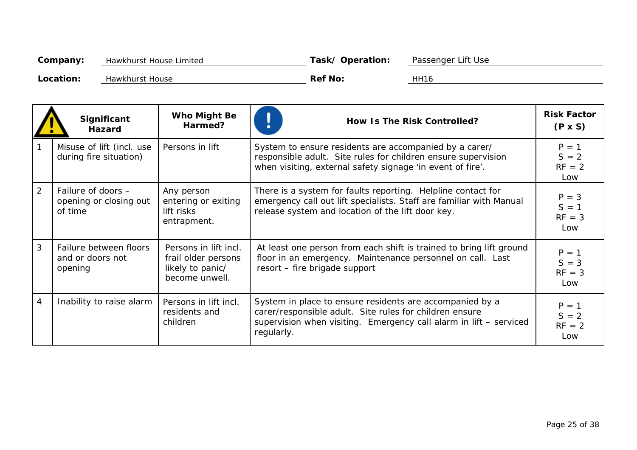| Company:  | Hawkhurst House Limited | Task/Operation: | Passenger Lift Use |
|-----------|-------------------------|-----------------|--------------------|
| Location: | <b>Hawkhurst House</b>  | <b>Ref No:</b>  | <b>HH16</b>        |

|                         | Significant<br><b>Hazard</b>                            | Who Might Be<br>Harmed?                                                            | How Is The Risk Controlled?                                                                                                                                                                             | <b>Risk Factor</b><br>$(P \times S)$  |
|-------------------------|---------------------------------------------------------|------------------------------------------------------------------------------------|---------------------------------------------------------------------------------------------------------------------------------------------------------------------------------------------------------|---------------------------------------|
|                         | Misuse of lift (incl. use<br>during fire situation)     | Persons in lift                                                                    | System to ensure residents are accompanied by a carer/<br>responsible adult. Site rules for children ensure supervision<br>when visiting, external safety signage 'in event of fire'.                   | $P = 1$<br>$S = 2$<br>$RF = 2$<br>Low |
| $\overline{2}$          | Failure of doors -<br>opening or closing out<br>of time | Any person<br>entering or exiting<br>lift risks<br>entrapment.                     | There is a system for faults reporting. Helpline contact for<br>emergency call out lift specialists. Staff are familiar with Manual<br>release system and location of the lift door key.                | $P = 3$<br>$S = 1$<br>$RF = 3$<br>Low |
| 3                       | Failure between floors<br>and or doors not<br>opening   | Persons in lift incl.<br>frail older persons<br>likely to panic/<br>become unwell. | At least one person from each shift is trained to bring lift ground<br>floor in an emergency. Maintenance personnel on call. Last<br>resort - fire brigade support                                      | $P = 1$<br>$S = 3$<br>$RF = 3$<br>Low |
| $\overline{\mathbf{4}}$ | Inability to raise alarm                                | Persons in lift incl.<br>residents and<br>children                                 | System in place to ensure residents are accompanied by a<br>carer/responsible adult. Site rules for children ensure<br>supervision when visiting. Emergency call alarm in lift - serviced<br>regularly. | $P = 1$<br>$S = 2$<br>$RF = 2$<br>Low |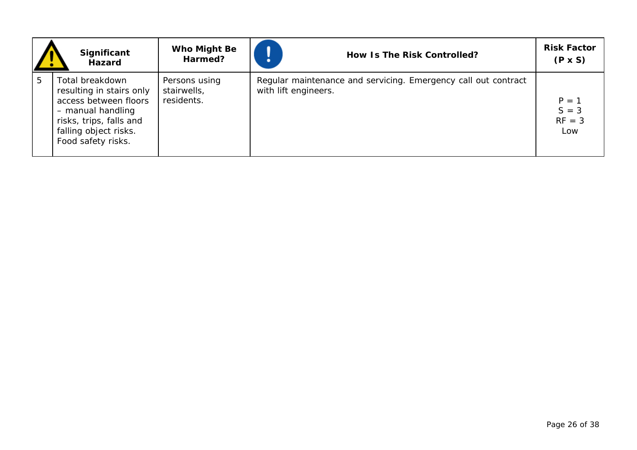|   | Significant<br><b>Hazard</b>                                                                                                                                               | Who Might Be<br>Harmed?                    | How Is The Risk Controlled?                                                            | <b>Risk Factor</b><br>$(P \times S)$  |
|---|----------------------------------------------------------------------------------------------------------------------------------------------------------------------------|--------------------------------------------|----------------------------------------------------------------------------------------|---------------------------------------|
| 5 | <b>Total breakdown</b><br>resulting in stairs only<br>access between floors<br>- manual handling<br>risks, trips, falls and<br>falling object risks.<br>Food safety risks. | Persons using<br>stairwells,<br>residents. | Regular maintenance and servicing. Emergency call out contract<br>with lift engineers. | $P = 1$<br>$S = 3$<br>$RF = 3$<br>Low |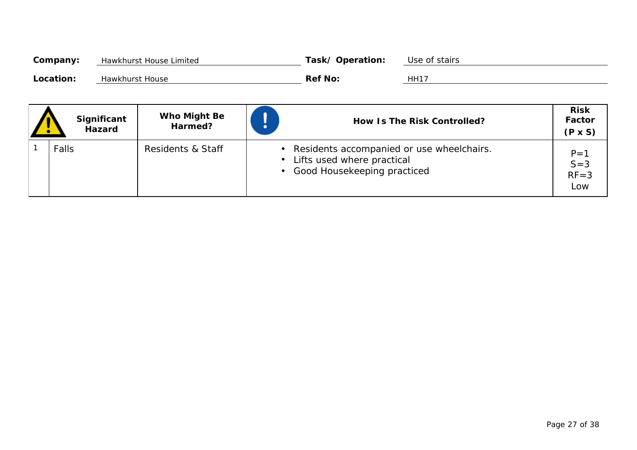| Company:  | Hawkhurst House Limited | Task/Operation: | Use of stairs    |
|-----------|-------------------------|-----------------|------------------|
| Location: | <b>Hawkhurst House</b>  | <b>Ref No:</b>  | HH1 <sup>-</sup> |

| Significant<br><b>Hazard</b> | Who Might Be<br>Harmed?      | How Is The Risk Controlled?                                                                                  | <b>Risk</b><br>Factor<br>$(P \times S)$ |
|------------------------------|------------------------------|--------------------------------------------------------------------------------------------------------------|-----------------------------------------|
| <b>Falls</b>                 | <b>Residents &amp; Staff</b> | • Residents accompanied or use wheelchairs.<br>• Lifts used where practical<br>• Good Housekeeping practiced | $P = 1$<br>$S = 3$<br>$RF = 3$<br>Low   |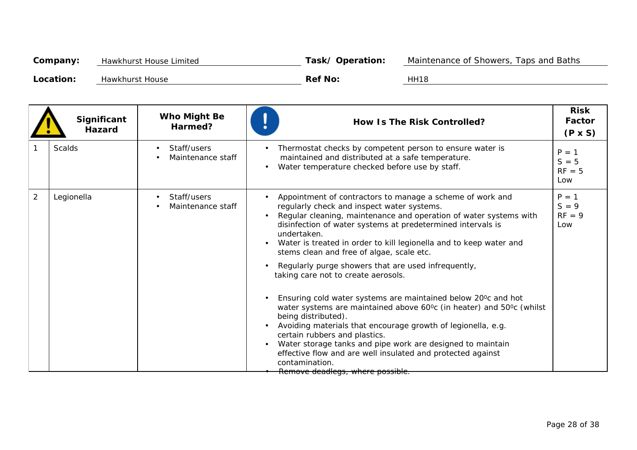| Company:  | <b>Hawkhurst House Limited</b> | Task/Operation: | Maintenance of Showers, Taps and Baths |
|-----------|--------------------------------|-----------------|----------------------------------------|
| Location: | <b>Hawkhurst House</b>         | <b>Ref No:</b>  | <b>HH18</b>                            |

|                | Significant<br><b>Hazard</b> | Who Might Be<br>Harmed?          | <b>How Is The Risk Controlled?</b>                                                                                                                                                                                                                                                                                                                                                                                                                                                                                                                                                                                                                                                                                                                                                                                                                                                                                                           | <b>Risk</b><br>Factor<br>$(P \times S)$ |
|----------------|------------------------------|----------------------------------|----------------------------------------------------------------------------------------------------------------------------------------------------------------------------------------------------------------------------------------------------------------------------------------------------------------------------------------------------------------------------------------------------------------------------------------------------------------------------------------------------------------------------------------------------------------------------------------------------------------------------------------------------------------------------------------------------------------------------------------------------------------------------------------------------------------------------------------------------------------------------------------------------------------------------------------------|-----------------------------------------|
|                | <b>Scalds</b>                | Staff/users<br>Maintenance staff | Thermostat checks by competent person to ensure water is<br>maintained and distributed at a safe temperature.<br>Water temperature checked before use by staff.<br>$\bullet$                                                                                                                                                                                                                                                                                                                                                                                                                                                                                                                                                                                                                                                                                                                                                                 | $P = 1$<br>$S = 5$<br>$RF = 5$<br>Low   |
| $\overline{2}$ | Legionella                   | Staff/users<br>Maintenance staff | Appointment of contractors to manage a scheme of work and<br>regularly check and inspect water systems.<br>Regular cleaning, maintenance and operation of water systems with<br>disinfection of water systems at predetermined intervals is<br>undertaken.<br>Water is treated in order to kill legionella and to keep water and<br>stems clean and free of algae, scale etc.<br>Regularly purge showers that are used infrequently,<br>taking care not to create aerosols.<br>Ensuring cold water systems are maintained below 20°c and hot<br>water systems are maintained above 60°c (in heater) and 50°c (whilst<br>being distributed).<br>Avoiding materials that encourage growth of legionella, e.g.<br>certain rubbers and plastics.<br>Water storage tanks and pipe work are designed to maintain<br>$\bullet$<br>effective flow and are well insulated and protected against<br>contamination.<br>Remove deadlegs, where possible. | $P = 1$<br>$S = 9$<br>$RF = 9$<br>Low   |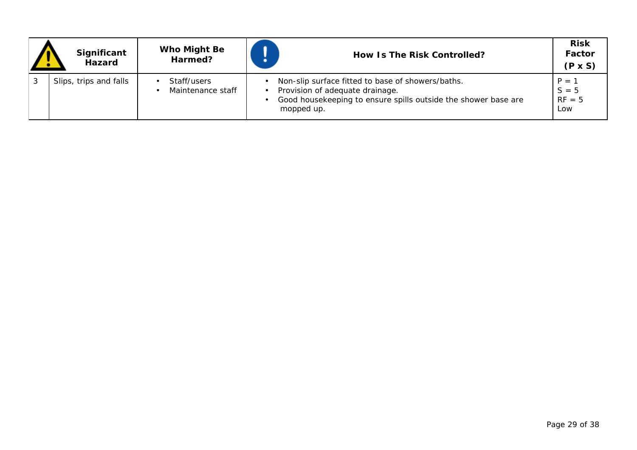|   | Significant<br><b>Hazard</b> | Who Might Be<br>Harmed?          | How Is The Risk Controlled?                                                                                                                                          | <b>Risk</b><br>Factor<br>$(P \times S)$ |
|---|------------------------------|----------------------------------|----------------------------------------------------------------------------------------------------------------------------------------------------------------------|-----------------------------------------|
| 3 | Slips, trips and falls       | Staff/users<br>Maintenance staff | Non-slip surface fitted to base of showers/baths.<br>Provision of adequate drainage.<br>Good housekeeping to ensure spills outside the shower base are<br>mopped up. | $P = 1$<br>$S = 5$<br>$RF = 5$<br>Low   |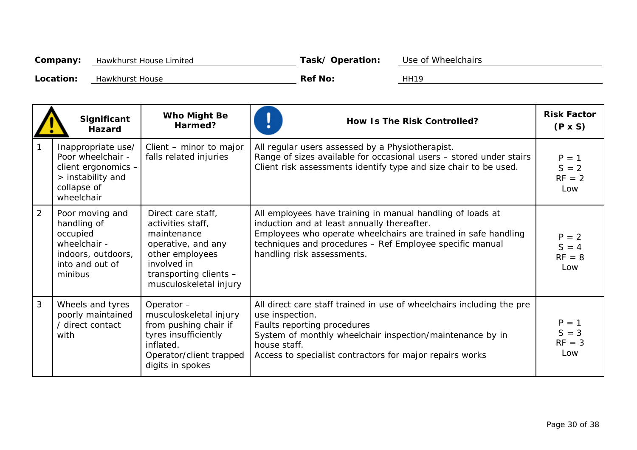| Company:  | Hawkhurst House Limited | Task/Operation: | Use of Wheelchairs |
|-----------|-------------------------|-----------------|--------------------|
| Location: | <b>Hawkhurst House</b>  | <b>Ref No:</b>  | <b>HH19</b>        |

|                | Significant<br><b>Hazard</b>                                                                                     | Who Might Be<br>Harmed?                                                                                                                                            | How Is The Risk Controlled?                                                                                                                                                                                                                                             | <b>Risk Factor</b><br>$(P \times S)$  |
|----------------|------------------------------------------------------------------------------------------------------------------|--------------------------------------------------------------------------------------------------------------------------------------------------------------------|-------------------------------------------------------------------------------------------------------------------------------------------------------------------------------------------------------------------------------------------------------------------------|---------------------------------------|
|                | Inappropriate use/<br>Poor wheelchair -<br>client ergonomics -<br>> instability and<br>collapse of<br>wheelchair | Client - minor to major<br>falls related injuries                                                                                                                  | All regular users assessed by a Physiotherapist.<br>Range of sizes available for occasional users - stored under stairs<br>Client risk assessments identify type and size chair to be used.                                                                             | $P = 1$<br>$S = 2$<br>$RF = 2$<br>Low |
| $\overline{2}$ | Poor moving and<br>handling of<br>occupied<br>wheelchair -<br>indoors, outdoors,<br>into and out of<br>minibus   | Direct care staff,<br>activities staff,<br>maintenance<br>operative, and any<br>other employees<br>involved in<br>transporting clients -<br>musculoskeletal injury | All employees have training in manual handling of loads at<br>induction and at least annually thereafter.<br>Employees who operate wheelchairs are trained in safe handling<br>techniques and procedures - Ref Employee specific manual<br>handling risk assessments.   | $P = 2$<br>$S = 4$<br>$RF = 8$<br>Low |
| $\overline{3}$ | Wheels and tyres<br>poorly maintained<br>/ direct contact<br>with                                                | Operator -<br>musculoskeletal injury<br>from pushing chair if<br>tyres insufficiently<br>inflated.<br>Operator/client trapped<br>digits in spokes                  | All direct care staff trained in use of wheelchairs including the pre<br>use inspection.<br><b>Faults reporting procedures</b><br>System of monthly wheelchair inspection/maintenance by in<br>house staff.<br>Access to specialist contractors for major repairs works | $P = 1$<br>$S = 3$<br>$RF = 3$<br>Low |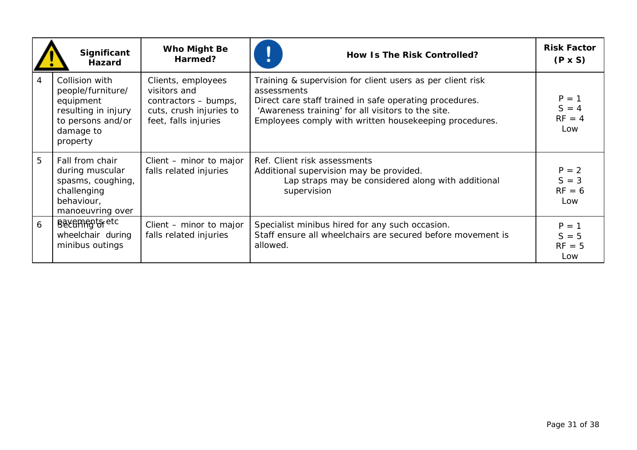|   | Significant<br><b>Hazard</b>                                                                                          | Who Might Be<br>Harmed?                                                                                       | How Is The Risk Controlled?                                                                                                                                                                                                                          | <b>Risk Factor</b><br>$(P \times S)$  |
|---|-----------------------------------------------------------------------------------------------------------------------|---------------------------------------------------------------------------------------------------------------|------------------------------------------------------------------------------------------------------------------------------------------------------------------------------------------------------------------------------------------------------|---------------------------------------|
| 4 | Collision with<br>people/furniture/<br>equipment<br>resulting in injury<br>to persons and/or<br>damage to<br>property | Clients, employees<br>visitors and<br>contractors - bumps,<br>cuts, crush injuries to<br>feet, falls injuries | Training & supervision for client users as per client risk<br>assessments<br>Direct care staff trained in safe operating procedures.<br>'Awareness training' for all visitors to the site.<br>Employees comply with written housekeeping procedures. | $P = 1$<br>$S = 4$<br>$RF = 4$<br>Low |
| 5 | Fall from chair<br>during muscular<br>spasms, coughing,<br>challenging<br>behaviour,<br>manoeuvring over              | Client – minor to major<br>falls related injuries                                                             | Ref. Client risk assessments<br>Additional supervision may be provided.<br>Lap straps may be considered along with additional<br>supervision                                                                                                         | $P = 2$<br>$S = 3$<br>$RF = 6$<br>Low |
| 6 | <b>Baxements</b> etc<br>wheelchair during<br>minibus outings                                                          | Client – minor to major<br>falls related injuries                                                             | Specialist minibus hired for any such occasion.<br>Staff ensure all wheelchairs are secured before movement is<br>allowed.                                                                                                                           | $P = 1$<br>$S = 5$<br>$RF = 5$<br>Low |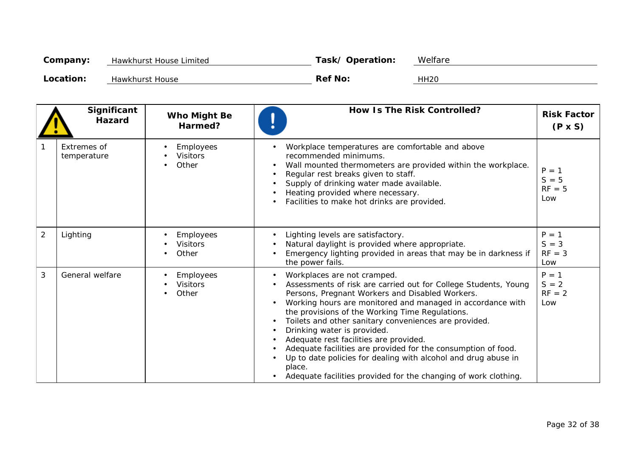| Company:  | Hawkhurst House Limited | Task/Operation: | Welfare     |
|-----------|-------------------------|-----------------|-------------|
| Location: | <b>Hawkhurst House</b>  | <b>Ref No:</b>  | <b>HH20</b> |

|                | Significant<br><b>Hazard</b>      | <b>Who Might Be</b><br>Harmed?               | <b>How Is The Risk Controlled?</b>                                                                                                                                                                                                                                                                                                                                                                                                                                                                                                                                                                                                             | <b>Risk Factor</b><br>$(P \times S)$  |
|----------------|-----------------------------------|----------------------------------------------|------------------------------------------------------------------------------------------------------------------------------------------------------------------------------------------------------------------------------------------------------------------------------------------------------------------------------------------------------------------------------------------------------------------------------------------------------------------------------------------------------------------------------------------------------------------------------------------------------------------------------------------------|---------------------------------------|
|                | <b>Extremes of</b><br>temperature | <b>Employees</b><br><b>Visitors</b><br>Other | Workplace temperatures are comfortable and above<br>$\bullet$<br>recommended minimums.<br>Wall mounted thermometers are provided within the workplace.<br>$\bullet$<br>Regular rest breaks given to staff.<br>$\bullet$<br>Supply of drinking water made available.<br>Heating provided where necessary.<br>Facilities to make hot drinks are provided.<br>$\bullet$                                                                                                                                                                                                                                                                           | $P = 1$<br>$S = 5$<br>$RF = 5$<br>Low |
| $\overline{2}$ | Lighting                          | <b>Employees</b><br><b>Visitors</b><br>Other | Lighting levels are satisfactory.<br>$\bullet$<br>Natural daylight is provided where appropriate.<br>Emergency lighting provided in areas that may be in darkness if<br>the power fails.                                                                                                                                                                                                                                                                                                                                                                                                                                                       | $P = 1$<br>$S = 3$<br>$RF = 3$<br>Low |
| 3              | General welfare                   | <b>Employees</b><br><b>Visitors</b><br>Other | Workplaces are not cramped.<br>$\bullet$<br>Assessments of risk are carried out for College Students, Young<br>Persons, Pregnant Workers and Disabled Workers.<br>Working hours are monitored and managed in accordance with<br>the provisions of the Working Time Regulations.<br>Toilets and other sanitary conveniences are provided.<br>$\bullet$<br>Drinking water is provided.<br>Adequate rest facilities are provided.<br>Adequate facilities are provided for the consumption of food.<br>Up to date policies for dealing with alcohol and drug abuse in<br>place.<br>Adequate facilities provided for the changing of work clothing. | $P = 1$<br>$S = 2$<br>$RF = 2$<br>Low |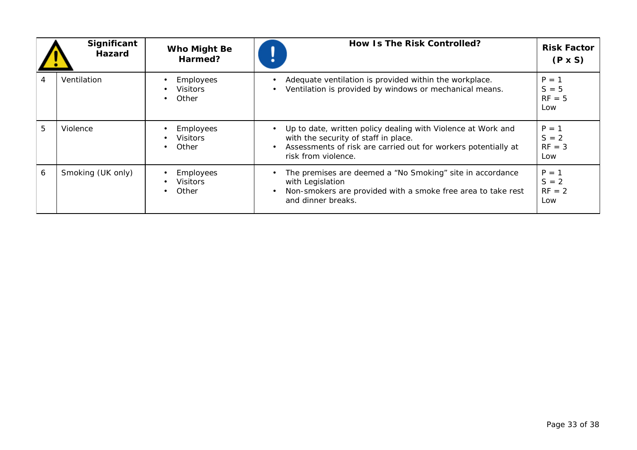|   | Significant<br><b>Hazard</b> | Who Might Be<br>Harmed?                                                       | How Is The Risk Controlled?                                                                                                                                                                     | <b>Risk Factor</b><br>$(P \times S)$  |
|---|------------------------------|-------------------------------------------------------------------------------|-------------------------------------------------------------------------------------------------------------------------------------------------------------------------------------------------|---------------------------------------|
| 4 | Ventilation                  | <b>Employees</b><br><b>Visitors</b><br>$\bullet$<br><b>Other</b><br>$\bullet$ | Adequate ventilation is provided within the workplace.<br>$\bullet$<br>Ventilation is provided by windows or mechanical means.<br>$\bullet$                                                     | $P = 1$<br>$S = 5$<br>$RF = 5$<br>Low |
| 5 | Violence                     | <b>Employees</b><br><b>Visitors</b><br>Other<br>$\bullet$                     | • Up to date, written policy dealing with Violence at Work and<br>with the security of staff in place.<br>Assessments of risk are carried out for workers potentially at<br>risk from violence. | $P = 1$<br>$S = 2$<br>$RF = 3$<br>Low |
| 6 | Smoking (UK only)            | <b>Employees</b><br><b>Visitors</b><br><b>Other</b><br>$\bullet$              | The premises are deemed a "No Smoking" site in accordance<br>$\bullet$<br>with Legislation<br>Non-smokers are provided with a smoke free area to take rest<br>$\bullet$<br>and dinner breaks.   | $P = 1$<br>$S = 2$<br>$RF = 2$<br>Low |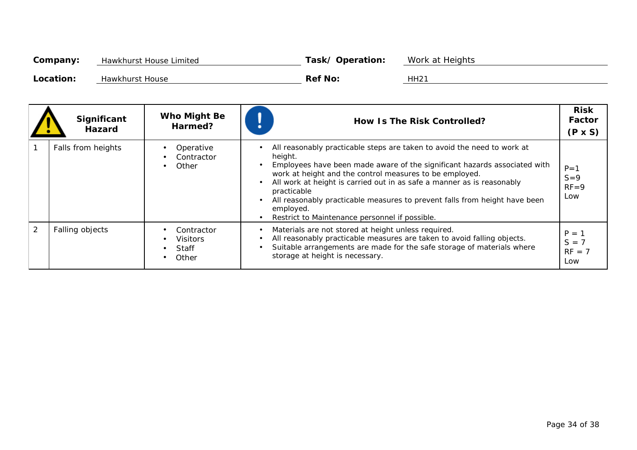| Company:  | <b>Hawkhurst House Limited</b> | Task/Operation: | <b>Work at Heights</b> |
|-----------|--------------------------------|-----------------|------------------------|
| Location: | <b>Hawkhurst House</b>         | <b>Ref No:</b>  | <b>HH21</b>            |

|                | Significant<br><b>Hazard</b> | Who Might Be<br>Harmed?                                | How Is The Risk Controlled?                                                                                                                                                                                                                                                                                                                                                                                                                                      | <b>Risk</b><br>Factor<br>$(P \times S)$ |
|----------------|------------------------------|--------------------------------------------------------|------------------------------------------------------------------------------------------------------------------------------------------------------------------------------------------------------------------------------------------------------------------------------------------------------------------------------------------------------------------------------------------------------------------------------------------------------------------|-----------------------------------------|
|                | Falls from heights           | Operative<br>Contractor<br>Other<br>$\bullet$          | All reasonably practicable steps are taken to avoid the need to work at<br>height.<br>Employees have been made aware of the significant hazards associated with<br>work at height and the control measures to be employed.<br>All work at height is carried out in as safe a manner as is reasonably<br>practicable<br>All reasonably practicable measures to prevent falls from height have been<br>employed.<br>Restrict to Maintenance personnel if possible. | $P = 1$<br>$S = 9$<br>$RF=9$<br>Low     |
| $\overline{2}$ | <b>Falling objects</b>       | Contractor<br><b>Visitors</b><br><b>Staff</b><br>Other | Materials are not stored at height unless required.<br>All reasonably practicable measures are taken to avoid falling objects.<br>Suitable arrangements are made for the safe storage of materials where<br>storage at height is necessary.                                                                                                                                                                                                                      | $P = 1$<br>$S = 7$<br>$RF = 7$<br>Low   |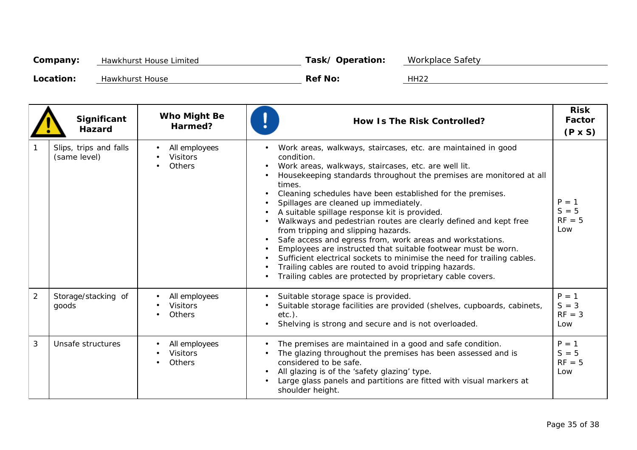| Company:  | Hawkhurst House Limited | Task/Operation: | <b>Workplace Safety</b> |
|-----------|-------------------------|-----------------|-------------------------|
| Location: | <b>Hawkhurst House</b>  | <b>Ref No:</b>  | <b>HH22</b>             |

|                | Significant<br><b>Hazard</b>           | Who Might Be<br>Harmed?                           | <b>How Is The Risk Controlled?</b>                                                                                                                                                                                                                                                                                                                                                                                                                                                                                                                                                                                                                                                                                                                                                                                      | <b>Risk</b><br>Factor<br>$(P \times S)$ |
|----------------|----------------------------------------|---------------------------------------------------|-------------------------------------------------------------------------------------------------------------------------------------------------------------------------------------------------------------------------------------------------------------------------------------------------------------------------------------------------------------------------------------------------------------------------------------------------------------------------------------------------------------------------------------------------------------------------------------------------------------------------------------------------------------------------------------------------------------------------------------------------------------------------------------------------------------------------|-----------------------------------------|
|                | Slips, trips and falls<br>(same level) | All employees<br><b>Visitors</b><br><b>Others</b> | Work areas, walkways, staircases, etc. are maintained in good<br>condition.<br>Work areas, walkways, staircases, etc. are well lit.<br>Housekeeping standards throughout the premises are monitored at all<br>times.<br>Cleaning schedules have been established for the premises.<br>Spillages are cleaned up immediately.<br>A suitable spillage response kit is provided.<br>Walkways and pedestrian routes are clearly defined and kept free<br>from tripping and slipping hazards.<br>Safe access and egress from, work areas and workstations.<br>Employees are instructed that suitable footwear must be worn.<br>Sufficient electrical sockets to minimise the need for trailing cables.<br>Trailing cables are routed to avoid tripping hazards.<br>Trailing cables are protected by proprietary cable covers. | $P = 1$<br>$S = 5$<br>$RF = 5$<br>Low   |
| $\overline{2}$ | Storage/stacking of<br>goods           | All employees<br><b>Visitors</b><br><b>Others</b> | Suitable storage space is provided.<br>Suitable storage facilities are provided (shelves, cupboards, cabinets,<br>$etc.$ ).<br>Shelving is strong and secure and is not overloaded.                                                                                                                                                                                                                                                                                                                                                                                                                                                                                                                                                                                                                                     | $P = 1$<br>$S = 3$<br>$RF = 3$<br>Low   |
| 3              | Unsafe structures                      | All employees<br><b>Visitors</b><br><b>Others</b> | The premises are maintained in a good and safe condition.<br>The glazing throughout the premises has been assessed and is<br>considered to be safe.<br>All glazing is of the 'safety glazing' type.<br>Large glass panels and partitions are fitted with visual markers at<br>shoulder height.                                                                                                                                                                                                                                                                                                                                                                                                                                                                                                                          | $P = 1$<br>$S = 5$<br>$RF = 5$<br>Low   |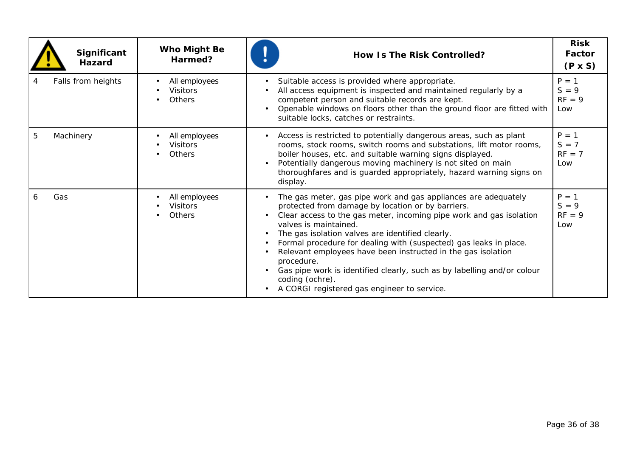|   | Significant<br><b>Hazard</b> | Who Might Be<br>Harmed?                           | How Is The Risk Controlled?                                                                                                                                                                                                                                                                                                                                                                                                                                                                                                                                             | <b>Risk</b><br>Factor<br>$(P \times S)$ |
|---|------------------------------|---------------------------------------------------|-------------------------------------------------------------------------------------------------------------------------------------------------------------------------------------------------------------------------------------------------------------------------------------------------------------------------------------------------------------------------------------------------------------------------------------------------------------------------------------------------------------------------------------------------------------------------|-----------------------------------------|
| 4 | Falls from heights           | All employees<br><b>Visitors</b><br>Others        | Suitable access is provided where appropriate.<br>All access equipment is inspected and maintained regularly by a<br>competent person and suitable records are kept.<br>Openable windows on floors other than the ground floor are fitted with<br>suitable locks, catches or restraints.                                                                                                                                                                                                                                                                                | $P = 1$<br>$S = 9$<br>$RF = 9$<br>Low   |
| 5 | Machinery                    | All employees<br><b>Visitors</b><br><b>Others</b> | Access is restricted to potentially dangerous areas, such as plant<br>$\bullet$<br>rooms, stock rooms, switch rooms and substations, lift motor rooms,<br>boiler houses, etc. and suitable warning signs displayed.<br>Potentially dangerous moving machinery is not sited on main<br>thoroughfares and is guarded appropriately, hazard warning signs on<br>display.                                                                                                                                                                                                   | $P = 1$<br>$S = 7$<br>$RF = 7$<br>Low   |
| 6 | Gas                          | All employees<br><b>Visitors</b><br><b>Others</b> | The gas meter, gas pipe work and gas appliances are adequately<br>protected from damage by location or by barriers.<br>Clear access to the gas meter, incoming pipe work and gas isolation<br>valves is maintained.<br>The gas isolation valves are identified clearly.<br>Formal procedure for dealing with (suspected) gas leaks in place.<br>Relevant employees have been instructed in the gas isolation<br>procedure.<br>Gas pipe work is identified clearly, such as by labelling and/or colour<br>coding (ochre).<br>A CORGI registered gas engineer to service. | $P = 1$<br>$S = 9$<br>$RF = 9$<br>Low   |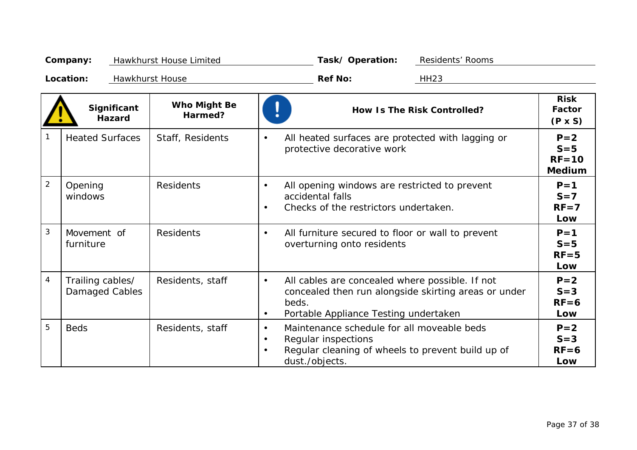|                         | Company:                                  | <b>Hawkhurst House Limited</b> | Task/Operation:<br><b>Residents' Rooms</b>                                                                                                                                          |                                                  |
|-------------------------|-------------------------------------------|--------------------------------|-------------------------------------------------------------------------------------------------------------------------------------------------------------------------------------|--------------------------------------------------|
|                         | Location:                                 | <b>Hawkhurst House</b>         | <b>Ref No:</b><br><b>HH23</b>                                                                                                                                                       |                                                  |
|                         | Significant<br><b>Hazard</b>              | <b>Who Might Be</b><br>Harmed? | <b>How Is The Risk Controlled?</b>                                                                                                                                                  | <b>Risk</b><br>Factor<br>$(P \times S)$          |
|                         | <b>Heated Surfaces</b>                    | <b>Staff, Residents</b>        | All heated surfaces are protected with lagging or<br>$\bullet$<br>protective decorative work                                                                                        | $P = 2$<br>$S = 5$<br>$RF = 10$<br><b>Medium</b> |
| $\overline{2}$          | Opening<br>windows                        | <b>Residents</b>               | All opening windows are restricted to prevent<br>$\bullet$<br>accidental falls<br>Checks of the restrictors undertaken.<br>$\bullet$                                                | $P = 1$<br>$S = 7$<br>$RF = 7$<br>Low            |
| 3                       | Movement of<br>furniture                  | <b>Residents</b>               | All furniture secured to floor or wall to prevent<br>$\bullet$<br>overturning onto residents                                                                                        | $P = 1$<br>$S = 5$<br>$RF = 5$<br>Low            |
| $\overline{\mathbf{4}}$ | Trailing cables/<br><b>Damaged Cables</b> | Residents, staff               | All cables are concealed where possible. If not<br>$\bullet$<br>concealed then run alongside skirting areas or under<br>beds.<br>Portable Appliance Testing undertaken<br>$\bullet$ | $P = 2$<br>$S = 3$<br>$RF = 6$<br>Low            |
| 5                       | <b>Beds</b>                               | Residents, staff               | Maintenance schedule for all moveable beds<br>$\bullet$<br><b>Regular inspections</b><br>$\bullet$<br>Regular cleaning of wheels to prevent build up of<br>dust./objects.           | $P = 2$<br>$S = 3$<br>$RF=6$<br>Low              |